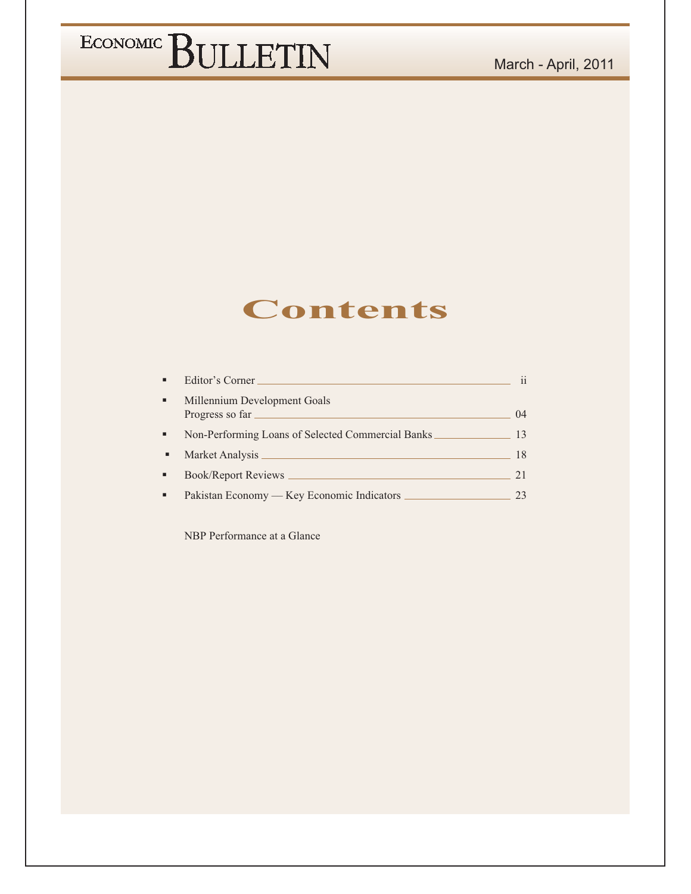### **Contents**

|   | Editor's Corner                                   | 11   |
|---|---------------------------------------------------|------|
| ٠ | Millennium Development Goals<br>Progress so far   | (1)4 |
| ٠ | Non-Performing Loans of Selected Commercial Banks | 13   |
| ٠ | Market Analysis                                   | 18   |
|   | <b>Book/Report Reviews</b>                        | 21   |
|   | Pakistan Economy — Key Economic Indicators        |      |

NBP Performance at a Glance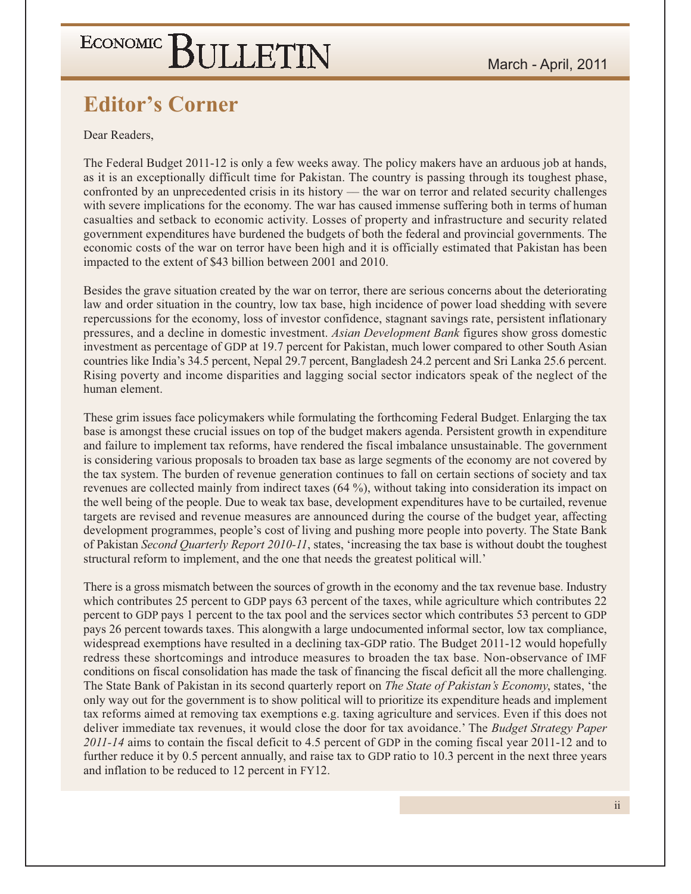### **Editor's Corner**

Dear Readers.

The Federal Budget 2011-12 is only a few weeks away. The policy makers have an arduous job at hands, as it is an exceptionally difficult time for Pakistan. The country is passing through its toughest phase, confronted by an unprecedented crisis in its history — the war on terror and related security challenges with severe implications for the economy. The war has caused immense suffering both in terms of human casualties and setback to economic activity. Losses of property and infrastructure and security related government expenditures have burdened the budgets of both the federal and provincial governments. The economic costs of the war on terror have been high and it is officially estimated that Pakistan has been impacted to the extent of \$43 billion between 2001 and 2010.

Besides the grave situation created by the war on terror, there are serious concerns about the deteriorating law and order situation in the country, low tax base, high incidence of power load shedding with severe repercussions for the economy, loss of investor confidence, stagnant savings rate, persistent inflationary pressures, and a decline in domestic investment. Asian Development Bank figures show gross domestic investment as percentage of GDP at 19.7 percent for Pakistan, much lower compared to other South Asian countries like India's 34.5 percent, Nepal 29.7 percent, Bangladesh 24.2 percent and Sri Lanka 25.6 percent. Rising poverty and income disparities and lagging social sector indicators speak of the neglect of the human element.

These grim issues face policymakers while formulating the forthcoming Federal Budget. Enlarging the tax base is amongst these crucial issues on top of the budget makers agenda. Persistent growth in expenditure and failure to implement tax reforms, have rendered the fiscal imbalance unsustainable. The government is considering various proposals to broaden tax base as large segments of the economy are not covered by the tax system. The burden of revenue generation continues to fall on certain sections of society and tax revenues are collected mainly from indirect taxes (64 %), without taking into consideration its impact on the well being of the people. Due to weak tax base, development expenditures have to be curtailed, revenue targets are revised and revenue measures are announced during the course of the budget year, affecting development programmes, people's cost of living and pushing more people into poverty. The State Bank of Pakistan Second Quarterly Report 2010-11, states, 'increasing the tax base is without doubt the toughest structural reform to implement, and the one that needs the greatest political will.'

There is a gross mismatch between the sources of growth in the economy and the tax revenue base. Industry which contributes 25 percent to GDP pays 63 percent of the taxes, while agriculture which contributes 22 percent to GDP pays 1 percent to the tax pool and the services sector which contributes 53 percent to GDP pays 26 percent towards taxes. This alongwith a large undocumented informal sector, low tax compliance, widespread exemptions have resulted in a declining tax-GDP ratio. The Budget 2011-12 would hopefully redress these shortcomings and introduce measures to broaden the tax base. Non-observance of IMF conditions on fiscal consolidation has made the task of financing the fiscal deficit all the more challenging. The State Bank of Pakistan in its second quarterly report on *The State of Pakistan's Economy*, states, 'the only way out for the government is to show political will to prioritize its expenditure heads and implement tax reforms aimed at removing tax exemptions e.g. taxing agriculture and services. Even if this does not deliver immediate tax revenues, it would close the door for tax avoidance.' The *Budget Strategy Paper* 2011-14 aims to contain the fiscal deficit to 4.5 percent of GDP in the coming fiscal year 2011-12 and to further reduce it by 0.5 percent annually, and raise tax to GDP ratio to 10.3 percent in the next three years and inflation to be reduced to 12 percent in FY12.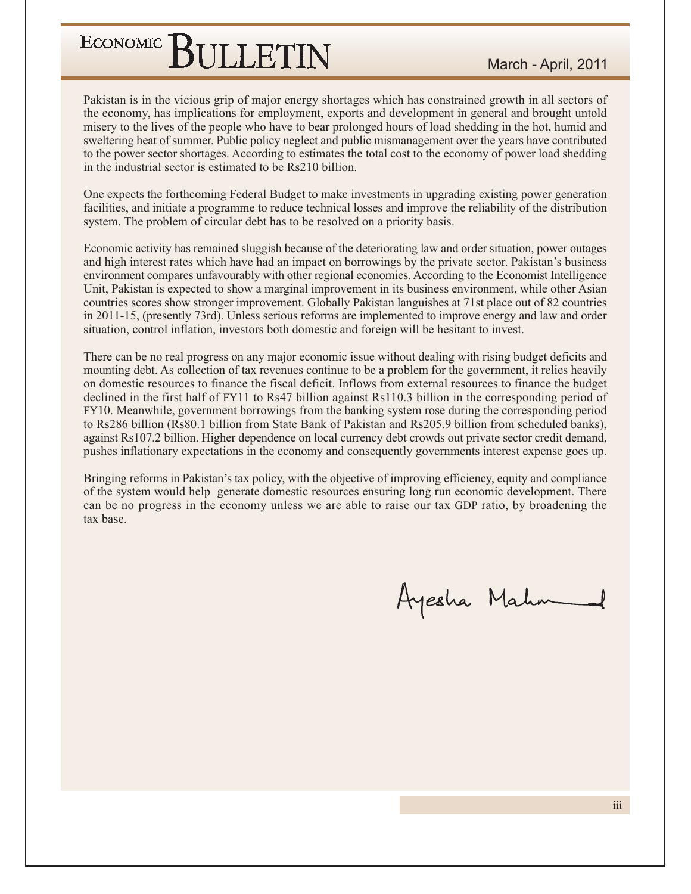Pakistan is in the vicious grip of major energy shortages which has constrained growth in all sectors of the economy, has implications for employment, exports and development in general and brought untold misery to the lives of the people who have to bear prolonged hours of load shedding in the hot, humid and sweltering heat of summer. Public policy neglect and public mismanagement over the years have contributed to the power sector shortages. According to estimates the total cost to the economy of power load shedding in the industrial sector is estimated to be Rs210 billion.

One expects the forthcoming Federal Budget to make investments in upgrading existing power generation facilities, and initiate a programme to reduce technical losses and improve the reliability of the distribution system. The problem of circular debt has to be resolved on a priority basis.

Economic activity has remained sluggish because of the deteriorating law and order situation, power outages and high interest rates which have had an impact on borrowings by the private sector. Pakistan's business environment compares unfavourably with other regional economies. According to the Economist Intelligence Unit, Pakistan is expected to show a marginal improvement in its business environment, while other Asian countries scores show stronger improvement. Globally Pakistan languishes at 71st place out of 82 countries in 2011-15, (presently 73rd). Unless serious reforms are implemented to improve energy and law and order situation, control inflation, investors both domestic and foreign will be hesitant to invest.

There can be no real progress on any major economic issue without dealing with rising budget deficits and mounting debt. As collection of tax revenues continue to be a problem for the government, it relies heavily on domestic resources to finance the fiscal deficit. Inflows from external resources to finance the budget declined in the first half of FY11 to Rs47 billion against Rs110.3 billion in the corresponding period of FY10. Meanwhile, government borrowings from the banking system rose during the corresponding period to Rs286 billion (Rs80.1 billion from State Bank of Pakistan and Rs205.9 billion from scheduled banks), against Rs107.2 billion. Higher dependence on local currency debt crowds out private sector credit demand, pushes inflationary expectations in the economy and consequently governments interest expense goes up.

Bringing reforms in Pakistan's tax policy, with the objective of improving efficiency, equity and compliance of the system would help generate domestic resources ensuring long run economic development. There can be no progress in the economy unless we are able to raise our tax GDP ratio, by broadening the tax base.

Ayesha Mahn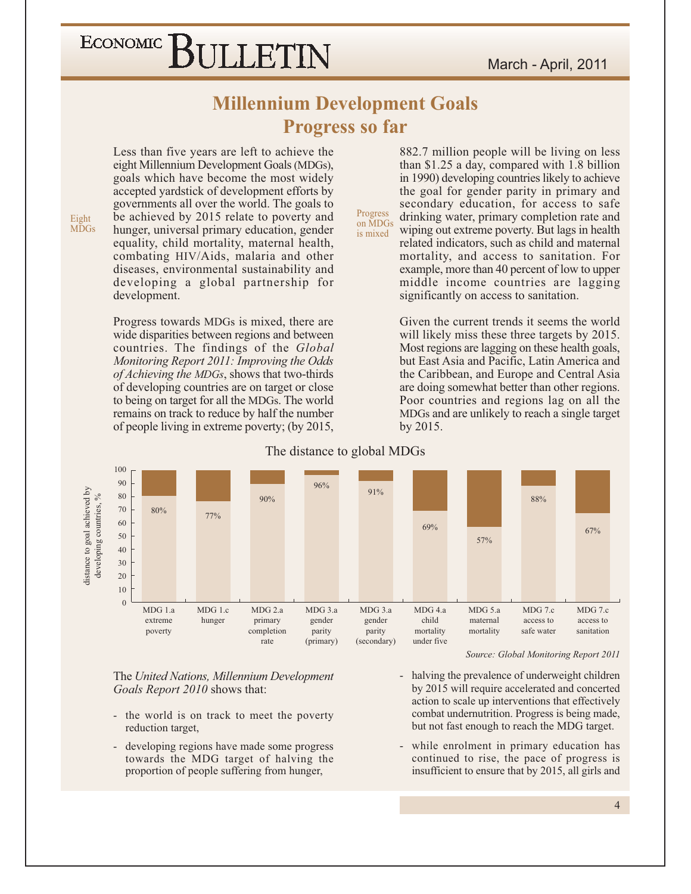#### **Millennium Development Goals Progress so far**

Progress

is mixed

Less than five years are left to achieve the eight Millennium Development Goals (MDGs), goals which have become the most widely accepted yardstick of development efforts by governments all over the world. The goals to be achieved by 2015 relate to poverty and hunger, universal primary education, gender equality, child mortality, maternal health, combating HIV/Aids, malaria and other diseases, environmental sustainability and developing a global partnership for development.

Eight

**MDGs** 

Progress towards MDGs is mixed, there are wide disparities between regions and between countries. The findings of the *Global* Monitoring Report 2011: Improving the Odds *of Achieving the MDGs*, shows that two-thirds of developing countries are on target or close to being on target for all the MDGs. The world remains on track to reduce by half the number of people living in extreme poverty; (by 2015,

882.7 million people will be living on less than  $$1.25$  a day, compared with 1.8 billion in 1990) developing countries likely to achieve the goal for gender parity in primary and secondary education, for access to safe drinking water, primary completion rate and on MDGs wiping out extreme poverty. But lags in health related indicators, such as child and maternal mortality, and access to sanitation. For example, more than 40 percent of low to upper middle income countries are lagging significantly on access to sanitation.

> Given the current trends it seems the world will likely miss these three targets by 2015. Most regions are lagging on these health goals, but East Asia and Pacific, Latin America and the Caribbean, and Europe and Central Asia are doing somewhat better than other regions. Poor countries and regions lag on all the MDGs and are unlikely to reach a single target by 2015.



#### The distance to global MDGs

The United Nations, Millennium Development Goals Report 2010 shows that:

- the world is on track to meet the poverty  $\overline{\phantom{a}}$ reduction target,
- developing regions have made some progress  $\mathcal{L}_{\mathcal{A}}$ towards the MDG target of halving the proportion of people suffering from hunger,

Source: Global Monitoring Report 2011

- halving the prevalence of underweight children  $\mathbf{r}$ by 2015 will require accelerated and concerted action to scale up interventions that effectively combat undernutrition. Progress is being made, but not fast enough to reach the MDG target.
- while enrolment in primary education has  $\mathbb{Z}^+$ continued to rise, the pace of progress is insufficient to ensure that by 2015, all girls and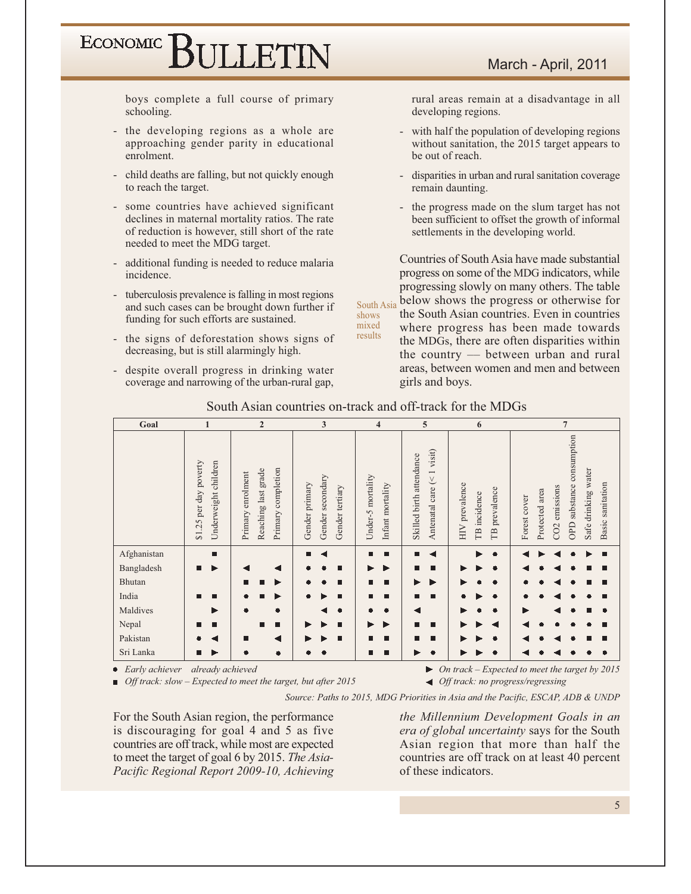boys complete a full course of primary schooling.

- the developing regions as a whole are approaching gender parity in educational enrolment.
- child deaths are falling, but not quickly enough to reach the target.
- some countries have achieved significant declines in maternal mortality ratios. The rate of reduction is however, still short of the rate needed to meet the MDG target.
- additional funding is needed to reduce malaria incidence.
- tuberculosis prevalence is falling in most regions and such cases can be brought down further if funding for such efforts are sustained.
- the signs of deforestation shows signs of decreasing, but is still alarmingly high.
- despite overall progress in drinking water coverage and narrowing of the urban-rural gap,

rural areas remain at a disadvantage in all developing regions.

- with half the population of developing regions without sanitation, the 2015 target appears to be out of reach.
- disparities in urban and rural sanitation coverage remain daunting.
- the progress made on the slum target has not been sufficient to offset the growth of informal settlements in the developing world.

Countries of South Asia have made substantial progress on some of the MDG indicators, while progressing slowly on many others. The table below shows the progress or otherwise for South Asia the South Asian countries. Even in countries where progress has been made towards the MDGs, there are often disparities within the country — between urban and rural areas, between women and men and between girls and boys.

| Goal             | 1                                                                   | $\overline{2}$                                                       | 3                                                     | 4                                     | 5                                                                                   | 6                                                                   | $\overline{7}$                                                                                                                             |
|------------------|---------------------------------------------------------------------|----------------------------------------------------------------------|-------------------------------------------------------|---------------------------------------|-------------------------------------------------------------------------------------|---------------------------------------------------------------------|--------------------------------------------------------------------------------------------------------------------------------------------|
|                  | poverty<br>Underweight children<br>per day<br>.25<br>$\overline{5}$ | completion<br>Reaching last grade<br>enrolment<br>Primary<br>Primary | Gender secondary<br>Gender primary<br>Gender tertiary | Under-5 mortality<br>Infant mortality | visit)<br>Skilled birth attendance<br>$\overline{\phantom{0}}$<br>Antenatal care (< | HIV prevalence<br>prevalence<br>incidence<br><b>TB</b><br><b>TB</b> | consumption<br>Safe drinking water<br>Basic sanitation<br>substance<br>CO2 emissions<br>Protected area<br>Forest cover<br>OPD <sub>3</sub> |
| Afghanistan      | п                                                                   |                                                                      | п                                                     | п<br>■                                | п                                                                                   |                                                                     | г                                                                                                                                          |
| Bangladesh       | п                                                                   |                                                                      | п                                                     |                                       | ■                                                                                   |                                                                     |                                                                                                                                            |
| Bhutan           |                                                                     | П<br>■<br>▶                                                          | П                                                     | Е<br>■                                | ▶<br>▶                                                                              |                                                                     | ш                                                                                                                                          |
| India            | п<br>П                                                              | ▶<br>■                                                               | П                                                     | п<br>■                                | П<br>■                                                                              |                                                                     |                                                                                                                                            |
| Maldives         | ▶                                                                   | $\bullet$<br>$\bullet$                                               | $\bullet$                                             |                                       |                                                                                     |                                                                     |                                                                                                                                            |
| Nepal            | п<br>■                                                              | п<br>■                                                               | П<br>▶                                                | ▶                                     | п<br>П                                                                              |                                                                     |                                                                                                                                            |
| Pakistan         |                                                                     | ◀<br>П                                                               | п                                                     | п<br>■                                | П<br>ш                                                                              |                                                                     | ш                                                                                                                                          |
| Sri Lanka        | ▶<br>■                                                              | $\bullet$<br>$\bullet$                                               | $\bullet$                                             | п                                     | ٠                                                                                   |                                                                     |                                                                                                                                            |
| • Early achiever | already achieved                                                    |                                                                      |                                                       |                                       | ▶                                                                                   |                                                                     | On track – Expected to meet the target by $2015$                                                                                           |

South Asian countries on-track and off-track for the MDGs

shows

mixed

results

• Early achiever already achieved

 $\Box$  Off track: slow – Expected to meet the target, but after 2015

Source: Paths to 2015, MDG Priorities in Asia and the Pacific, ESCAP, ADB & UNDP

For the South Asian region, the performance is discouraging for goal 4 and 5 as five countries are off track, while most are expected to meet the target of goal 6 by 2015. The Asia-Pacific Regional Report 2009-10, Achieving the Millennium Development Goals in an *era of global uncertainty* says for the South Asian region that more than half the countries are off track on at least 40 percent of these indicators.

← Off track: no progress/regressing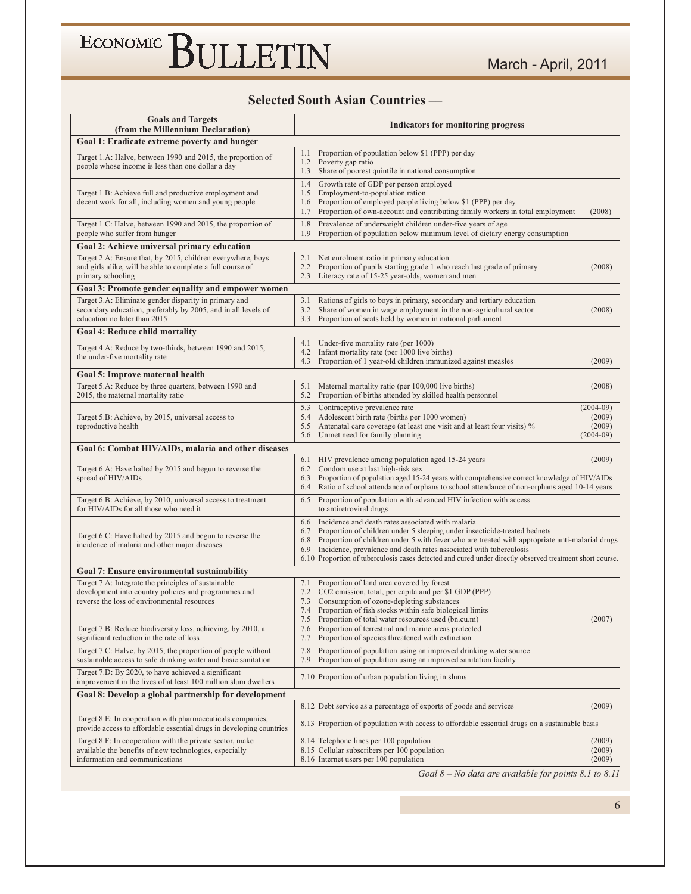#### **Selected South Asian Countries --**

| <b>Goals and Targets</b><br>(from the Millennium Declaration)                                                                                                                                                                                                          | <b>Indicators for monitoring progress</b>                                                                                                                                                                                                                                                                                                                                                                                                      |                                                |
|------------------------------------------------------------------------------------------------------------------------------------------------------------------------------------------------------------------------------------------------------------------------|------------------------------------------------------------------------------------------------------------------------------------------------------------------------------------------------------------------------------------------------------------------------------------------------------------------------------------------------------------------------------------------------------------------------------------------------|------------------------------------------------|
| Goal 1: Eradicate extreme poverty and hunger                                                                                                                                                                                                                           |                                                                                                                                                                                                                                                                                                                                                                                                                                                |                                                |
| Target 1.A: Halve, between 1990 and 2015, the proportion of<br>people whose income is less than one dollar a day                                                                                                                                                       | Proportion of population below \$1 (PPP) per day<br>1.1<br>Poverty gap ratio<br>1.2<br>1.3<br>Share of poorest quintile in national consumption                                                                                                                                                                                                                                                                                                |                                                |
| Target 1.B: Achieve full and productive employment and<br>decent work for all, including women and young people                                                                                                                                                        | Growth rate of GDP per person employed<br>1.4<br>1.5<br>Employment-to-population ration<br>Proportion of employed people living below \$1 (PPP) per day<br>1.6<br>Proportion of own-account and contributing family workers in total employment<br>1.7                                                                                                                                                                                         | (2008)                                         |
| Target 1.C: Halve, between 1990 and 2015, the proportion of<br>people who suffer from hunger                                                                                                                                                                           | 1.8<br>Prevalence of underweight children under-five years of age<br>Proportion of population below minimum level of dietary energy consumption<br>1.9                                                                                                                                                                                                                                                                                         |                                                |
| Goal 2: Achieve universal primary education                                                                                                                                                                                                                            |                                                                                                                                                                                                                                                                                                                                                                                                                                                |                                                |
| Target 2.A: Ensure that, by 2015, children everywhere, boys<br>and girls alike, will be able to complete a full course of<br>primary schooling                                                                                                                         | Net enrolment ratio in primary education<br>2.1<br>Proportion of pupils starting grade 1 who reach last grade of primary<br>2.2<br>Literacy rate of 15-25 year-olds, women and men<br>2.3                                                                                                                                                                                                                                                      | (2008)                                         |
| Goal 3: Promote gender equality and empower women                                                                                                                                                                                                                      |                                                                                                                                                                                                                                                                                                                                                                                                                                                |                                                |
| Target 3.A: Eliminate gender disparity in primary and<br>secondary education, preferably by 2005, and in all levels of<br>education no later than 2015                                                                                                                 | Rations of girls to boys in primary, secondary and tertiary education<br>3.1<br>Share of women in wage employment in the non-agricultural sector<br>3.2<br>Proportion of seats held by women in national parliament<br>3.3                                                                                                                                                                                                                     | (2008)                                         |
| <b>Goal 4: Reduce child mortality</b>                                                                                                                                                                                                                                  |                                                                                                                                                                                                                                                                                                                                                                                                                                                |                                                |
| Target 4.A: Reduce by two-thirds, between 1990 and 2015,<br>the under-five mortality rate                                                                                                                                                                              | Under-five mortality rate (per 1000)<br>4.1<br>Infant mortality rate (per 1000 live births)<br>4.2<br>4.3<br>Proportion of 1 year-old children immunized against measles                                                                                                                                                                                                                                                                       | (2009)                                         |
| Goal 5: Improve maternal health                                                                                                                                                                                                                                        |                                                                                                                                                                                                                                                                                                                                                                                                                                                |                                                |
| Target 5.A: Reduce by three quarters, between 1990 and<br>2015, the maternal mortality ratio                                                                                                                                                                           | Maternal mortality ratio (per 100,000 live births)<br>5.1<br>Proportion of births attended by skilled health personnel<br>5.2                                                                                                                                                                                                                                                                                                                  | (2008)                                         |
| Target 5.B: Achieve, by 2015, universal access to<br>reproductive health                                                                                                                                                                                               | Contraceptive prevalence rate<br>5.3<br>Adolescent birth rate (births per 1000 women)<br>5.4<br>Antenatal care coverage (at least one visit and at least four visits) %<br>5.5<br>5.6<br>Unmet need for family planning                                                                                                                                                                                                                        | $(2004-09)$<br>(2009)<br>(2009)<br>$(2004-09)$ |
| Goal 6: Combat HIV/AIDs, malaria and other diseases                                                                                                                                                                                                                    |                                                                                                                                                                                                                                                                                                                                                                                                                                                |                                                |
| Target 6.A: Have halted by 2015 and begun to reverse the<br>spread of HIV/AIDs                                                                                                                                                                                         | HIV prevalence among population aged 15-24 years<br>6.1<br>Condom use at last high-risk sex<br>6.2<br>Proportion of population aged 15-24 years with comprehensive correct knowledge of HIV/AIDs<br>6.3<br>Ratio of school attendance of orphans to school attendance of non-orphans aged 10-14 years<br>6.4                                                                                                                                   | (2009)                                         |
| Target 6.B: Achieve, by 2010, universal access to treatment<br>for HIV/AIDs for all those who need it                                                                                                                                                                  | Proportion of population with advanced HIV infection with access<br>6.5<br>to antiretroviral drugs                                                                                                                                                                                                                                                                                                                                             |                                                |
| Target 6.C: Have halted by 2015 and begun to reverse the<br>incidence of malaria and other major diseases                                                                                                                                                              | Incidence and death rates associated with malaria<br>6.6<br>Proportion of children under 5 sleeping under insecticide-treated bednets<br>6.7<br>Proportion of children under 5 with fever who are treated with appropriate anti-malarial drugs<br>6.8<br>Incidence, prevalence and death rates associated with tuberculosis<br>6.9<br>6.10 Proportion of tuberculosis cases detected and cured under directly observed treatment short course. |                                                |
| Goal 7: Ensure environmental sustainability                                                                                                                                                                                                                            |                                                                                                                                                                                                                                                                                                                                                                                                                                                |                                                |
| Target 7.A: Integrate the principles of sustainable<br>development into country policies and programmes and<br>reverse the loss of environmental resources<br>Target 7.B: Reduce biodiversity loss, achieving, by 2010, a<br>significant reduction in the rate of loss | Proportion of land area covered by forest<br>7.1<br>CO2 emission, total, per capita and per \$1 GDP (PPP)<br>7.2<br>Consumption of ozone-depleting substances<br>7.3<br>Proportion of fish stocks within safe biological limits<br>7.4<br>7.5 Proportion of total water resources used (bn.cu.m)<br>Proportion of terrestrial and marine areas protected<br>7.6<br>Proportion of species threatened with extinction<br>7.7                     | (2007)                                         |
| Target 7.C: Halve, by 2015, the proportion of people without<br>sustainable access to safe drinking water and basic sanitation                                                                                                                                         | 7.8<br>Proportion of population using an improved drinking water source<br>7.9<br>Proportion of population using an improved sanitation facility                                                                                                                                                                                                                                                                                               |                                                |
| Target 7.D: By 2020, to have achieved a significant<br>improvement in the lives of at least 100 million slum dwellers                                                                                                                                                  | 7.10 Proportion of urban population living in slums                                                                                                                                                                                                                                                                                                                                                                                            |                                                |
| Goal 8: Develop a global partnership for development                                                                                                                                                                                                                   |                                                                                                                                                                                                                                                                                                                                                                                                                                                |                                                |
|                                                                                                                                                                                                                                                                        | 8.12 Debt service as a percentage of exports of goods and services                                                                                                                                                                                                                                                                                                                                                                             | (2009)                                         |
| Target 8.E: In cooperation with pharmaceuticals companies,<br>provide access to affordable essential drugs in developing countries                                                                                                                                     | 8.13 Proportion of population with access to affordable essential drugs on a sustainable basis                                                                                                                                                                                                                                                                                                                                                 |                                                |
| Target 8.F: In cooperation with the private sector, make<br>available the benefits of new technologies, especially<br>information and communications                                                                                                                   | 8.14 Telephone lines per 100 population<br>8.15 Cellular subscribers per 100 population<br>8.16 Internet users per 100 population                                                                                                                                                                                                                                                                                                              | (2009)<br>(2009)<br>(2009)                     |

Goal  $8 - No$  data are available for points  $8.1$  to  $8.11$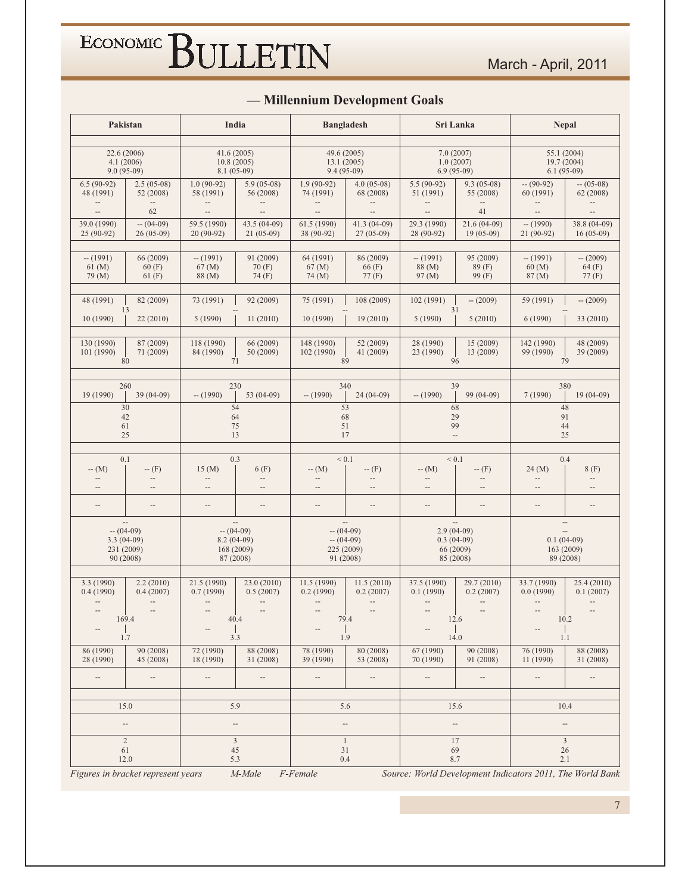|                                                          | Pakistan                              | India                                                  |                                                              |                                           | <b>Bangladesh</b>                                     |                                       | Sri Lanka                                              | Nepal                                                     |                                  |
|----------------------------------------------------------|---------------------------------------|--------------------------------------------------------|--------------------------------------------------------------|-------------------------------------------|-------------------------------------------------------|---------------------------------------|--------------------------------------------------------|-----------------------------------------------------------|----------------------------------|
|                                                          |                                       |                                                        |                                                              |                                           |                                                       |                                       |                                                        |                                                           |                                  |
| 4.1(2006)<br>$9.0(95-09)$                                | 22.6 (2006)                           | 41.6(2005)<br>10.8(2005)<br>$8.1(05-09)$               |                                                              |                                           | 49.6 (2005)<br>13.1(2005)<br>$9.4(95-09)$             |                                       | 7.0(2007)<br>1.0(2007)<br>$6.9(95-09)$                 | 55.1 (2004)<br>19.7 (2004)<br>$6.1(95-09)$                |                                  |
| $6.5(90-92)$<br>48 (1991)                                | $2.5(05-08)$<br>52 (2008)             | $1.0(90-92)$<br>58 (1991)                              | $5.9(05-08)$<br>56 (2008)                                    | $1.9(90-92)$<br>74 (1991)                 | $4.0(05-08)$<br>68 (2008)                             | $5.5(90-92)$<br>51 (1991)             | $9.3(05-08)$<br>55 (2008)                              | $- (90-92)$<br>60 (1991)                                  | $- (05-08)$<br>62 (2008)         |
| $\overline{\phantom{a}}$                                 | 62                                    | $\overline{\phantom{a}}$                               | $\overline{\phantom{a}}$                                     | $\overline{\phantom{a}}$                  | $\overline{\phantom{a}}$                              | $\overline{\phantom{a}}$              | 41                                                     | $\overline{\phantom{a}}$                                  | $\overline{\phantom{a}}$         |
| 39.0 (1990)<br>25 (90-92)                                | $- (04-09)$<br>$26(05-09)$            | 59.5 (1990)<br>$20(90-92)$                             | 43.5 (04-09)<br>$21(05-09)$                                  | 61.5 (1990)<br>38 (90-92)                 | 41.3 (04-09)<br>$27(05-09)$                           | 29.3 (1990)<br>28 (90-92)             | $21.6(04-09)$<br>$19(05-09)$                           | $- (1990)$<br>21 (90-92)                                  | 38.8 (04-09)<br>$16(05-09)$      |
| $- (1991)$<br>$61 \, (M)$<br>79 (M)                      | 66 (2009)<br>60(F)<br>61(F)           | $- (1991)$<br>$67 \, (M)$<br>88 (M)                    | 91 (2009)<br>70(F)<br>74 (F)                                 | 64 (1991)<br>$67 \, (M)$<br>74 (M)        | 86 (2009)<br>66(F)<br>77(F)                           | $- (1991)$<br>88 (M)<br>97 (M)        | 95 (2009)<br>89 (F)<br>99 (F)                          | $- (1991)$<br>60(M)<br>87(M)                              | $- (2009)$<br>64(F)<br>77(F)     |
| 48 (1991)                                                | 82 (2009)                             | 73 (1991)                                              | 92 (2009)                                                    | 75 (1991)                                 | 108 (2009)                                            | 102(1991)                             | $- (2009)$                                             | 59 (1991)                                                 | $- (2009)$                       |
| 10 (1990)                                                | 13<br>22 (2010)                       | 5(1990)                                                | 11(2010)                                                     | 10 (1990)                                 | 19(2010)                                              | 5(1990)                               | 31<br>5(2010)                                          | 6(1990)                                                   | 33 (2010)                        |
| 130 (1990)<br>101 (1990)                                 | 87 (2009)<br>71 (2009)<br>80          | 118 (1990)<br>84 (1990)<br>71                          | 66 (2009)<br>50 (2009)                                       | 148 (1990)<br>102 (1990)                  | 52 (2009)<br>41 (2009)<br>89                          | 28 (1990)<br>23 (1990)                | 15 (2009)<br>13 (2009)<br>96                           | 142 (1990)<br>99 (1990)<br>79                             | 48 (2009)<br>39 (2009)           |
|                                                          | 260                                   | 230                                                    |                                                              |                                           | 340                                                   |                                       | 39                                                     | 380                                                       |                                  |
| 19 (1990)                                                | 39 (04-09)                            | $- (1990)$                                             | 53 (04-09)                                                   | $- (1990)$                                | $24(04-09)$                                           | $- (1990)$                            | 99 (04-09)                                             | 7(1990)                                                   | $19(04-09)$                      |
| 61                                                       | 30<br>42<br>25                        | 54<br>64<br>75<br>13                                   |                                                              |                                           | 53<br>68<br>51<br>17                                  |                                       | 68<br>29<br>99<br>$\overline{\phantom{a}}$             | 48<br>91<br>44<br>25                                      |                                  |
| 0.1                                                      |                                       | 0.3                                                    |                                                              |                                           | ${}< 0.1$                                             |                                       | < 0.1                                                  | 0.4                                                       |                                  |
| $- (M)$<br>$\overline{\phantom{a}}$<br>$\qquad \qquad -$ | $- (F)$<br>$-\!$                      | 15(M)<br>$\overline{\phantom{a}}$<br>--                | 6(F)<br>$\overline{\phantom{a}}$<br>$\overline{\phantom{a}}$ | $- (M)$<br>$\overline{\phantom{a}}$<br>-- | $- (F)$<br>--<br>--                                   | $- (M)$<br>--<br>$\qquad \qquad -$    | $- (F)$<br>$\overline{\phantom{a}}$                    | 24(M)<br>$-\hbox{--}$<br>$\overline{\phantom{a}}$         | 8(F)                             |
| $\overline{\phantom{m}}$                                 | $\overline{\phantom{m}}$              | $\overline{\phantom{a}}$                               | $\overline{\phantom{a}}$                                     | $\overline{\phantom{a}}$                  | $\qquad \qquad -$                                     | $\overline{\phantom{a}}$              | $\qquad \qquad -$                                      | $\overline{\phantom{a}}$                                  | $\overline{\phantom{a}}$         |
| $- (04-09)$<br>$3.3(04-09)$<br>231 (2009)                | Щ.<br>90 (2008)                       | $- (04-09)$<br>$8.2(04-09)$<br>168 (2009)<br>87 (2008) |                                                              |                                           | $- (04-09)$<br>$- (04-09)$<br>225 (2009)<br>91 (2008) |                                       | $2.9(04-09)$<br>$0.3(04-09)$<br>66 (2009)<br>85 (2008) | $0.1(04-09)$<br>163 (2009)<br>89 (2008)                   | $\overline{\phantom{a}}$         |
| 3.3 (1990)                                               | 2.2(2010)                             | 21.5 (1990)                                            | 23.0 (2010)                                                  | 11.5 (1990)                               | 11.5(2010)                                            | 37.5 (1990)                           | 29.7 (2010)                                            | 33.7 (1990)                                               | 25.4 (2010)                      |
| 0.4(1990)<br>$\cdots$                                    | 0.4(2007)<br>$\overline{\phantom{a}}$ | 0.7(1990)<br>$-\hbox{--}$                              | 0.5(2007)<br>$\overline{\phantom{a}}$                        | 0.2(1990)<br>--                           | 0.2(2007)                                             | 0.1(1990)<br>$\overline{\phantom{a}}$ | 0.2(2007)                                              | 0.0(1990)<br>$\overline{\phantom{a}}$                     | 0.1(2007)                        |
| $\qquad \qquad -$                                        | $\hspace{0.05cm} -$<br>169.4          | $\hspace{0.05cm} -\hspace{0.05cm} -\hspace{0.05cm}$    | $\overline{\phantom{a}}$<br>40.4                             | --                                        | $\overline{\phantom{a}}$<br>79.4                      | $\qquad \qquad -$                     | $-\!$<br>12.6                                          | $\overline{\phantom{a}}$                                  | $\overline{\phantom{a}}$<br>10.2 |
|                                                          | 1.7                                   | 3.3                                                    |                                                              |                                           | 1.9                                                   |                                       | 14.0                                                   | 1.1                                                       |                                  |
| 86 (1990)<br>28 (1990)                                   | 90 (2008)<br>45 (2008)                | 72 (1990)<br>18 (1990)                                 | 88 (2008)<br>31 (2008)                                       | 78 (1990)<br>39 (1990)                    | 80 (2008)<br>53 (2008)                                | 67 (1990)<br>70 (1990)                | 90 (2008)<br>91 (2008)                                 | 76 (1990)<br>11(1990)                                     | 88 (2008)<br>31 (2008)           |
|                                                          | $\overline{\phantom{a}}$              | $\overline{\phantom{a}}$                               | $\overline{\phantom{a}}$                                     | --                                        |                                                       | $\qquad \qquad -$                     |                                                        | $\overline{\phantom{a}}$                                  |                                  |
|                                                          | 15.0                                  | 5.9                                                    |                                                              |                                           | 5.6                                                   |                                       | 15.6                                                   | 10.4                                                      |                                  |
|                                                          | $\overline{\phantom{a}}$              | $\overline{\phantom{a}}$                               |                                                              |                                           | $\qquad \qquad -$                                     |                                       | --                                                     |                                                           |                                  |
|                                                          | $\overline{2}$                        | $\mathfrak{Z}$                                         |                                                              |                                           | $\mathbf{1}$                                          |                                       | 17                                                     |                                                           | $\mathfrak{Z}$                   |
|                                                          | 61<br>12.0                            | 45<br>5.3                                              |                                                              |                                           | 31<br>0.4                                             |                                       | 69<br>8.7                                              | 26<br>2.1                                                 |                                  |
| Figures in bracket represent years                       |                                       |                                                        | M-Male                                                       | F-Female                                  |                                                       |                                       |                                                        | Source: World Development Indicators 2011, The World Bank |                                  |

#### - Millennium Development Goals

 $7\overline{ }$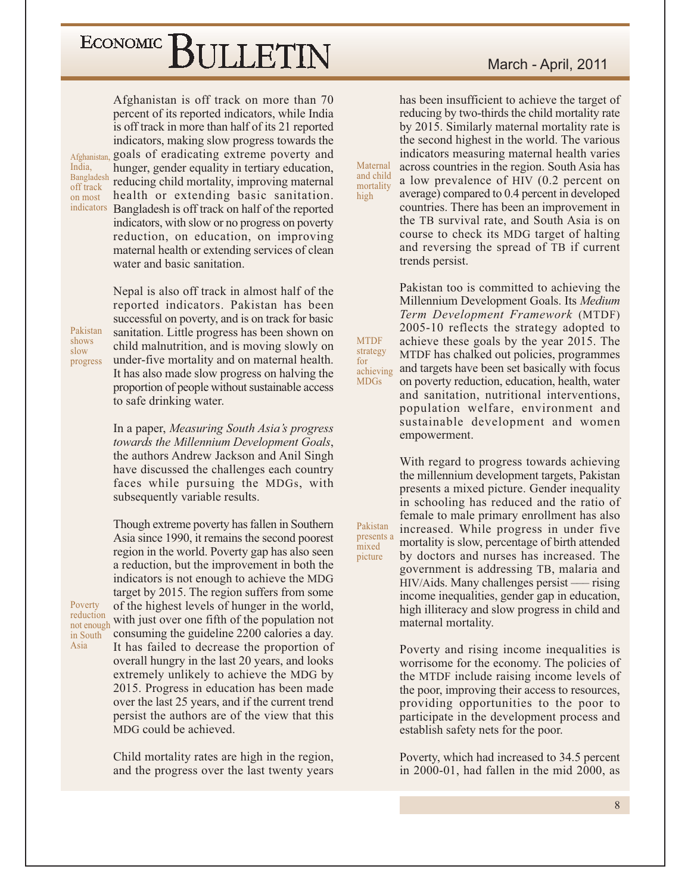Afghanistan is off track on more than 70 percent of its reported indicators, while India is off track in more than half of its 21 reported indicators, making slow progress towards the Afghanistan, goals of eradicating extreme poverty and hunger, gender equality in tertiary education, Bangladesh reducing child mortality, improving maternal health or extending basic sanitation. indicators Bangladesh is off track on half of the reported indicators, with slow or no progress on poverty reduction, on education, on improving maternal health or extending services of clean water and basic sanitation.

Pakistan shows slow progress

Poverty

reduction

in South Asia

not enough

India,

off track

on most

Nepal is also off track in almost half of the reported indicators. Pakistan has been successful on poverty, and is on track for basic sanitation. Little progress has been shown on child malnutrition, and is moving slowly on under-five mortality and on maternal health. It has also made slow progress on halving the proportion of people without sustainable access to safe drinking water.

In a paper, Measuring South Asia's progress towards the Millennium Development Goals, the authors Andrew Jackson and Anil Singh have discussed the challenges each country faces while pursuing the MDGs, with subsequently variable results.

Though extreme poverty has fallen in Southern Asia since 1990, it remains the second poorest region in the world. Poverty gap has also seen a reduction, but the improvement in both the indicators is not enough to achieve the MDG target by 2015. The region suffers from some of the highest levels of hunger in the world, with just over one fifth of the population not consuming the guideline 2200 calories a day. It has failed to decrease the proportion of overall hungry in the last 20 years, and looks extremely unlikely to achieve the MDG by 2015. Progress in education has been made over the last 25 years, and if the current trend persist the authors are of the view that this MDG could be achieved.

Child mortality rates are high in the region, and the progress over the last twenty years March - April, 2011

has been insufficient to achieve the target of reducing by two-thirds the child mortality rate by 2015. Similarly maternal mortality rate is the second highest in the world. The various indicators measuring maternal health varies across countries in the region. South Asia has a low prevalence of HIV (0.2 percent on average) compared to 0.4 percent in developed countries. There has been an improvement in the TB survival rate, and South Asia is on course to check its MDG target of halting and reversing the spread of TB if current trends persist.

Maternal

and child

mortality

high

**MTDF** 

strategy

**MDGs** 

Pakistan

mixed

picture

achieving

 $for$ 

Pakistan too is committed to achieving the Millennium Development Goals. Its Medium Term Development Framework (MTDF) 2005-10 reflects the strategy adopted to achieve these goals by the year 2015. The MTDF has chalked out policies, programmes and targets have been set basically with focus on poverty reduction, education, health, water and sanitation, nutritional interventions, population welfare, environment and sustainable development and women empowerment.

With regard to progress towards achieving the millennium development targets, Pakistan presents a mixed picture. Gender inequality in schooling has reduced and the ratio of female to male primary enrollment has also increased. While progress in under five presents a mortality is slow, percentage of birth attended by doctors and nurses has increased. The government is addressing TB, malaria and HIV/Aids. Many challenges persist — rising income inequalities, gender gap in education, high illiteracy and slow progress in child and maternal mortality.

> Poverty and rising income inequalities is worrisome for the economy. The policies of the MTDF include raising income levels of the poor, improving their access to resources, providing opportunities to the poor to participate in the development process and establish safety nets for the poor.

> Poverty, which had increased to 34.5 percent in 2000-01, had fallen in the mid 2000, as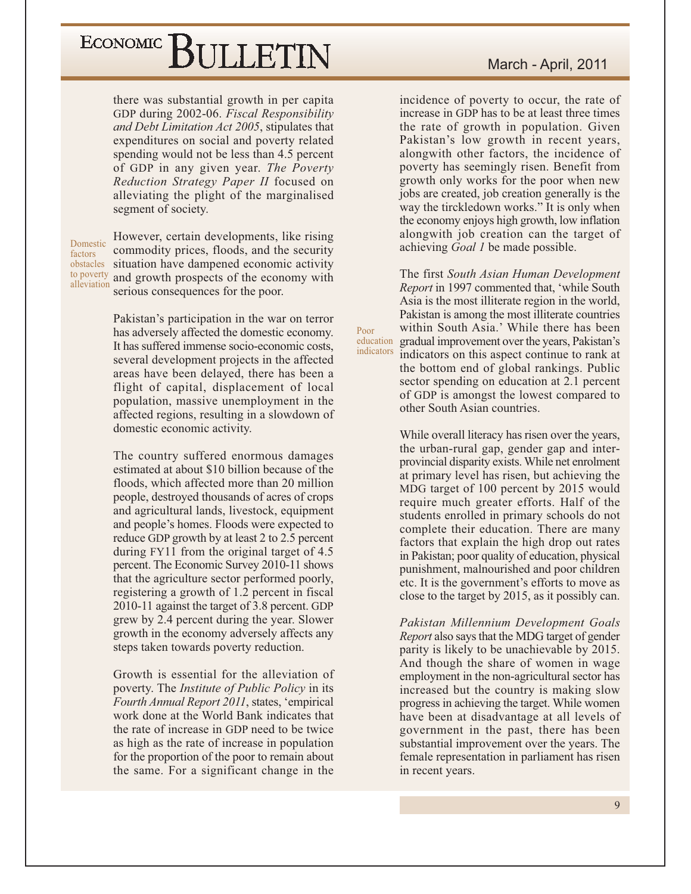there was substantial growth in per capita GDP during 2002-06. Fiscal Responsibility and Debt Limitation Act 2005, stipulates that expenditures on social and poverty related spending would not be less than 4.5 percent of GDP in any given year. The Poverty Reduction Strategy Paper II focused on alleviating the plight of the marginalised segment of society.

Domestic factors obstacles alleviation

However, certain developments, like rising commodity prices, floods, and the security situation have dampened economic activity to poverty and growth prospects of the economy with serious consequences for the poor.

> Pakistan's participation in the war on terror has adversely affected the domestic economy. It has suffered immense socio-economic costs, several development projects in the affected areas have been delayed, there has been a flight of capital, displacement of local population, massive unemployment in the affected regions, resulting in a slowdown of domestic economic activity.

> The country suffered enormous damages estimated at about \$10 billion because of the floods, which affected more than 20 million people, destroyed thousands of acres of crops and agricultural lands, livestock, equipment and people's homes. Floods were expected to reduce GDP growth by at least 2 to 2.5 percent during FY11 from the original target of 4.5 percent. The Economic Survey 2010-11 shows that the agriculture sector performed poorly, registering a growth of 1.2 percent in fiscal 2010-11 against the target of 3.8 percent. GDP grew by 2.4 percent during the year. Slower growth in the economy adversely affects any steps taken towards poverty reduction.

> Growth is essential for the alleviation of poverty. The *Institute of Public Policy* in its Fourth Annual Report 2011, states, 'empirical work done at the World Bank indicates that the rate of increase in GDP need to be twice as high as the rate of increase in population for the proportion of the poor to remain about the same. For a significant change in the

incidence of poverty to occur, the rate of increase in GDP has to be at least three times the rate of growth in population. Given Pakistan's low growth in recent years, alongwith other factors, the incidence of poverty has seemingly risen. Benefit from growth only works for the poor when new jobs are created, job creation generally is the way the tirckledown works." It is only when the economy enjoys high growth, low inflation alongwith job creation can the target of achieving Goal 1 be made possible.

The first South Asian Human Development *Report* in 1997 commented that, 'while South Asia is the most illiterate region in the world, Pakistan is among the most illiterate countries within South Asia.' While there has been education gradual improvement over the years, Pakistan's indicators indicators on this aspect continue to rank at the bottom end of global rankings. Public sector spending on education at 2.1 percent of GDP is amongst the lowest compared to other South Asian countries.

Poor

While overall literacy has risen over the years, the urban-rural gap, gender gap and interprovincial disparity exists. While net enrolment at primary level has risen, but achieving the MDG target of 100 percent by 2015 would require much greater efforts. Half of the students enrolled in primary schools do not complete their education. There are many factors that explain the high drop out rates in Pakistan; poor quality of education, physical punishment, malnourished and poor children etc. It is the government's efforts to move as close to the target by 2015, as it possibly can.

Pakistan Millennium Development Goals *Report* also says that the MDG target of gender parity is likely to be unachievable by 2015. And though the share of women in wage employment in the non-agricultural sector has increased but the country is making slow progress in achieving the target. While women have been at disadvantage at all levels of government in the past, there has been substantial improvement over the years. The female representation in parliament has risen in recent years.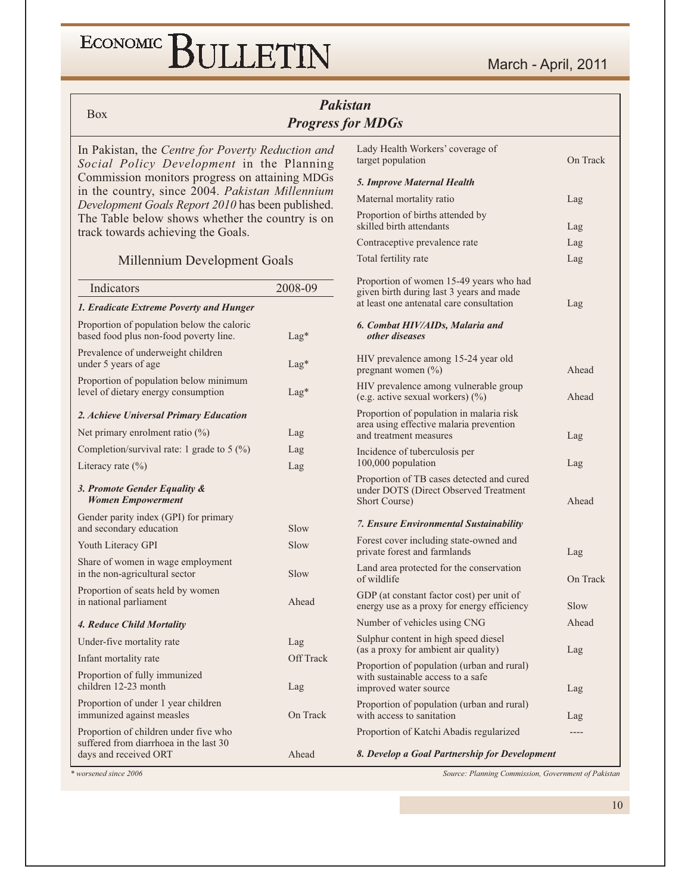#### ECONOMIC<sup></sup> BULLETIN

#### **Pakistan Progress for MDGs**

**Box** 

In Pakistan, the Centre for Poverty Reduction and Social Policy Development in the Planning Commission monitors progress on attaining MDGs in the country, since 2004. Pakistan Millennium Development Goals Report 2010 has been published. The Table below shows whether the country is on track towards achieving the Goals.

#### Millennium Development Goals

| Indicators                                                                                               | 2008-09   |
|----------------------------------------------------------------------------------------------------------|-----------|
| 1. Eradicate Extreme Poverty and Hunger                                                                  |           |
| Proportion of population below the caloric<br>based food plus non-food poverty line.                     | $Lag*$    |
| Prevalence of underweight children<br>under 5 years of age                                               | $Lag*$    |
| Proportion of population below minimum<br>level of dietary energy consumption                            | $Lag*$    |
| 2. Achieve Universal Primary Education                                                                   |           |
| Net primary enrolment ratio $(\%)$                                                                       | Lag       |
| Completion/survival rate: 1 grade to 5 $(\%)$                                                            | Lag       |
| Literacy rate $(\% )$                                                                                    | Lag       |
| 3. Promote Gender Equality &<br><b>Women Empowerment</b>                                                 |           |
| Gender parity index (GPI) for primary<br>and secondary education                                         | Slow      |
| Youth Literacy GPI                                                                                       | Slow      |
| Share of women in wage employment<br>in the non-agricultural sector                                      | Slow      |
| Proportion of seats held by women<br>in national parliament                                              | Ahead     |
| 4. Reduce Child Mortality                                                                                |           |
| Under-five mortality rate                                                                                | Lag       |
| Infant mortality rate                                                                                    | Off Track |
| Proportion of fully immunized<br>children 12-23 month                                                    | Lag       |
| Proportion of under 1 year children<br>immunized against measles                                         | On Track  |
| Proportion of children under five who<br>suffered from diarrhoea in the last 30<br>days and received ORT | Ahead     |

Lady Health Workers' coverage of target population On Track 5. Improve Maternal Health Maternal mortality ratio Lag Proportion of births attended by skilled birth attendants Lag Contraceptive prevalence rate Lag Total fertility rate Lag Proportion of women 15-49 years who had given birth during last 3 years and made at least one antenatal care consultation Lag 6. Combat HIV/AIDs, Malaria and other diseases HIV prevalence among 15-24 year old pregnant women (%) Ahead HIV prevalence among vulnerable group (e.g. active sexual workers) (%) Ahead Proportion of population in malaria risk area using effective malaria prevention and treatment measures Lag Incidence of tuberculosis per 100,000 population Lag Proportion of TB cases detected and cured under DOTS (Direct Observed Treatment Short Course) Ahead 7. Ensure Environmental Sustainability Forest cover including state-owned and private forest and farmlands Lag Land area protected for the conservation of wildlife On Track GDP (at constant factor cost) per unit of energy use as a proxy for energy efficiency  $S_{\text{low}}$ Number of vehicles using CNG Ahead Sulphur content in high speed diesel (as a proxy for ambient air quality) Lag Proportion of population (urban and rural) with sustainable access to a safe improved water source Lag Proportion of population (urban and rural) with access to sanitation Lag

8. Develop a Goal Partnership for Development

Proportion of Katchi Abadis regularized

\* worsened since 2006

Source: Planning Commission, Government of Pakistan

 $---$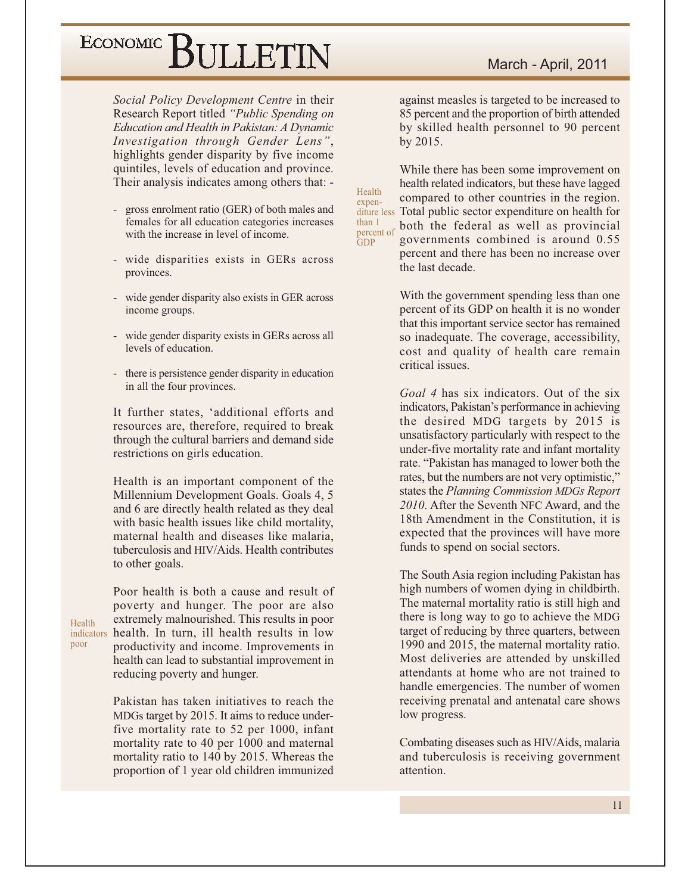Social Policy Development Centre in their Research Report titled "Public Spending on Education and Health in Pakistan: A Dynamic Investigation through Gender Lens", highlights gender disparity by five income quintiles, levels of education and province. Their analysis indicates among others that: -

- gross enrolment ratio (GER) of both males and females for all education categories increases with the increase in level of income.
- wide disparities exists in GERs across provinces.
- wide gender disparity also exists in GER across income groups.
- wide gender disparity exists in GERs across all levels of education.
- there is persistence gender disparity in education in all the four provinces.

It further states, 'additional efforts and resources are, therefore, required to break through the cultural barriers and demand side restrictions on girls education.

Health is an important component of the Millennium Development Goals. Goals 4, 5 and 6 are directly health related as they deal with basic health issues like child mortality, maternal health and diseases like malaria. tuberculosis and HIV/Aids. Health contributes to other goals.

Poor health is both a cause and result of poverty and hunger. The poor are also extremely malnourished. This results in poor indicators health. In turn, ill health results in low productivity and income. Improvements in health can lead to substantial improvement in reducing poverty and hunger.

> Pakistan has taken initiatives to reach the MDGs target by 2015. It aims to reduce underfive mortality rate to 52 per 1000, infant mortality rate to 40 per 1000 and maternal mortality ratio to 140 by 2015. Whereas the proportion of 1 year old children immunized

against measles is targeted to be increased to 85 percent and the proportion of birth attended by skilled health personnel to 90 percent by 2015.

While there has been some improvement on health related indicators, but these have lagged compared to other countries in the region. diture less Total public sector expenditure on health for both the federal as well as provincial percent of governments combined is around 0.55 percent and there has been no increase over the last decade.

Health

expen-

than 1

 $GDP$ 

With the government spending less than one percent of its GDP on health it is no wonder that this important service sector has remained so inadequate. The coverage, accessibility, cost and quality of health care remain critical issues.

Goal 4 has six indicators. Out of the six indicators, Pakistan's performance in achieving the desired MDG targets by 2015 is unsatisfactory particularly with respect to the under-five mortality rate and infant mortality rate. "Pakistan has managed to lower both the rates, but the numbers are not very optimistic," states the Planning Commission MDGs Report 2010. After the Seventh NFC Award, and the 18th Amendment in the Constitution, it is expected that the provinces will have more funds to spend on social sectors.

The South Asia region including Pakistan has high numbers of women dying in childbirth. The maternal mortality ratio is still high and there is long way to go to achieve the MDG target of reducing by three quarters, between 1990 and 2015, the maternal mortality ratio. Most deliveries are attended by unskilled attendants at home who are not trained to handle emergencies. The number of women receiving prenatal and antenatal care shows low progress.

Combating diseases such as HIV/Aids, malaria and tuberculosis is receiving government attention.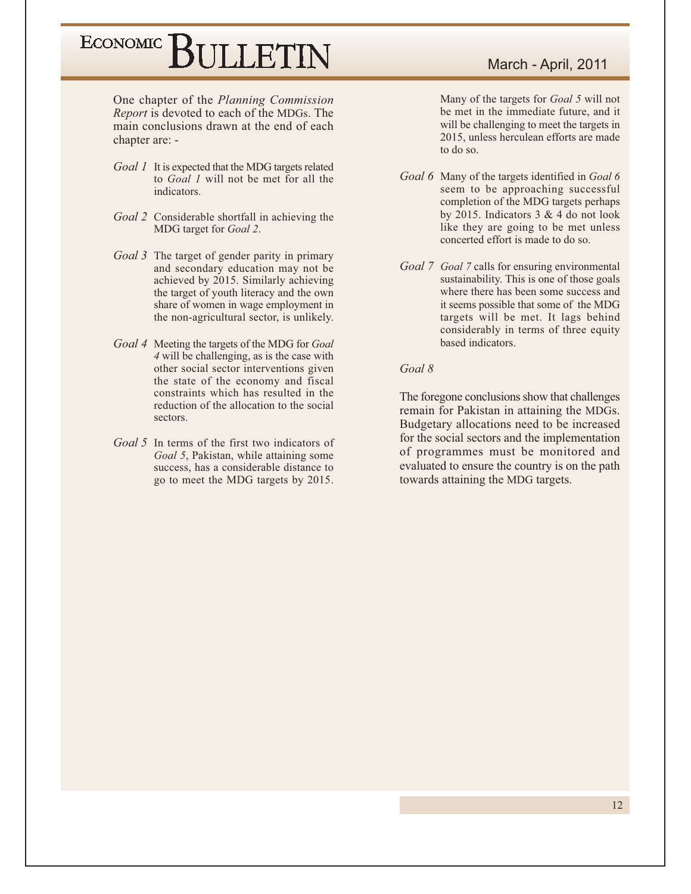One chapter of the Planning Commission *Report* is devoted to each of the MDGs. The main conclusions drawn at the end of each chapter are: -

- Goal 1 It is expected that the MDG targets related to Goal 1 will not be met for all the indicators.
- Goal 2 Considerable shortfall in achieving the MDG target for Goal 2.
- Goal 3 The target of gender parity in primary and secondary education may not be achieved by 2015. Similarly achieving the target of youth literacy and the own share of women in wage employment in the non-agricultural sector, is unlikely.
- Goal 4 Meeting the targets of the MDG for Goal 4 will be challenging, as is the case with other social sector interventions given the state of the economy and fiscal constraints which has resulted in the reduction of the allocation to the social sectors.
- Goal 5 In terms of the first two indicators of Goal 5, Pakistan, while attaining some success, has a considerable distance to go to meet the MDG targets by 2015.

Many of the targets for Goal 5 will not be met in the immediate future, and it will be challenging to meet the targets in 2015, unless herculean efforts are made to do so.

- Goal 6 Many of the targets identified in Goal 6 seem to be approaching successful completion of the MDG targets perhaps by 2015. Indicators  $3 & 4$  do not look like they are going to be met unless concerted effort is made to do so.
- Goal 7 Goal 7 calls for ensuring environmental sustainability. This is one of those goals where there has been some success and it seems possible that some of the MDG targets will be met. It lags behind considerably in terms of three equity based indicators.

#### $Goal 8$

The foregone conclusions show that challenges remain for Pakistan in attaining the MDGs. Budgetary allocations need to be increased for the social sectors and the implementation of programmes must be monitored and evaluated to ensure the country is on the path towards attaining the MDG targets.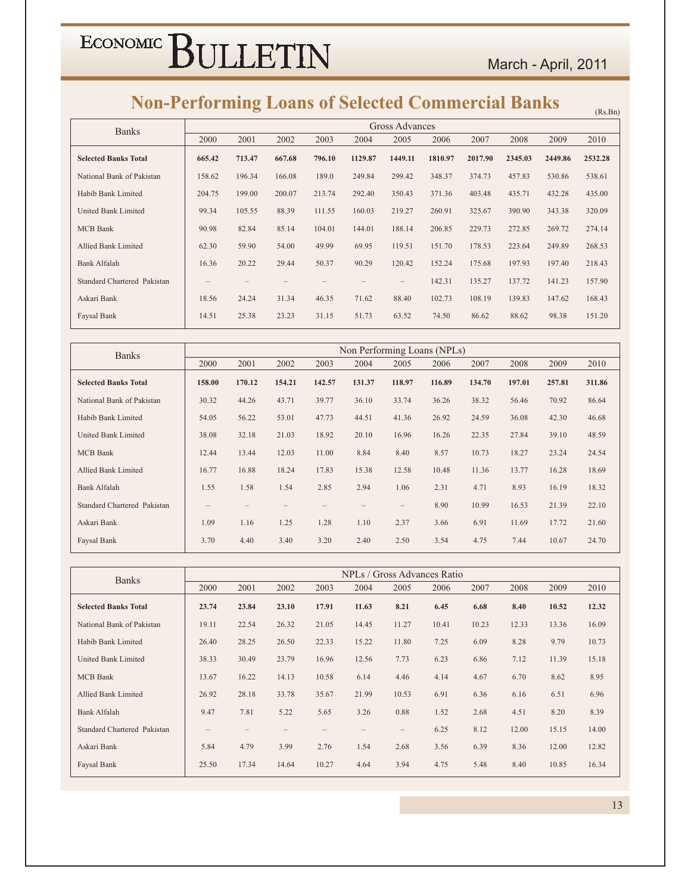### **Non-Performing Loans of Selected Commercial Banks**

| TWH-T CHUI ming Loans of Sciected Commercial Danks |        |        |        |        |         |                       |         |         |         |         | (Rs.Bn) |
|----------------------------------------------------|--------|--------|--------|--------|---------|-----------------------|---------|---------|---------|---------|---------|
| <b>Banks</b>                                       |        |        |        |        |         | <b>Gross Advances</b> |         |         |         |         |         |
|                                                    | 2000   | 2001   | 2002   | 2003   | 2004    | 2005                  | 2006    | 2007    | 2008    | 2009    | 2010    |
| <b>Selected Banks Total</b>                        | 665.42 | 713.47 | 667.68 | 796.10 | 1129.87 | 1449.11               | 1810.97 | 2017.90 | 2345.03 | 2449.86 | 2532.28 |
| National Bank of Pakistan                          | 158.62 | 196.34 | 166.08 | 189.0  | 249.84  | 299.42                | 348.37  | 374.73  | 457.83  | 530.86  | 538.61  |
| Habib Bank Limited                                 | 204.75 | 199.00 | 200.07 | 213.74 | 292.40  | 350.43                | 371.36  | 403.48  | 435.71  | 432.28  | 435.00  |
| United Bank Limited                                | 99.34  | 105.55 | 88.39  | 111.55 | 160.03  | 219.27                | 260.91  | 325.67  | 390.90  | 343.38  | 320.09  |
| <b>MCB</b> Bank                                    | 90.98  | 82.84  | 85.14  | 104.01 | 144.01  | 188.14                | 206.85  | 229.73  | 272.85  | 269.72  | 274.14  |
| <b>Allied Bank Limited</b>                         | 62.30  | 59.90  | 54.00  | 49.99  | 69.95   | 119.51                | 151.70  | 178.53  | 223.64  | 249.89  | 268.53  |
| <b>Bank Alfalah</b>                                | 16.36  | 20.22  | 29.44  | 50.37  | 90.29   | 120.42                | 152.24  | 175.68  | 197.93  | 197.40  | 218.43  |
| Standard Chartered Pakistan                        |        |        |        |        |         |                       | 142.31  | 135.27  | 137.72  | 141.23  | 157.90  |
| Askari Bank                                        | 18.56  | 24.24  | 31.34  | 46.35  | 71.62   | 88.40                 | 102.73  | 108.19  | 139.83  | 147.62  | 168.43  |
| Faysal Bank                                        | 14.51  | 25.38  | 23.23  | 31.15  | 51.73   | 63.52                 | 74.50   | 86.62   | 88.62   | 98.38   | 151.20  |

| <b>Banks</b>                |        |        |        |        | Non Performing Loans (NPLs) |                   |        |        |        |        |        |
|-----------------------------|--------|--------|--------|--------|-----------------------------|-------------------|--------|--------|--------|--------|--------|
|                             | 2000   | 2001   | 2002   | 2003   | 2004                        | 2005              | 2006   | 2007   | 2008   | 2009   | 2010   |
| <b>Selected Banks Total</b> | 158.00 | 170.12 | 154.21 | 142.57 | 131.37                      | 118.97            | 116.89 | 134.70 | 197.01 | 257.81 | 311.86 |
| National Bank of Pakistan   | 30.32  | 44.26  | 43.71  | 39.77  | 36.10                       | 33.74             | 36.26  | 38.32  | 56.46  | 70.92  | 86.64  |
| Habib Bank Limited          | 54.05  | 56.22  | 53.01  | 47.73  | 44.51                       | 41.36             | 26.92  | 24.59  | 36.08  | 42.30  | 46.68  |
| United Bank Limited         | 38.08  | 32.18  | 21.03  | 18.92  | 20.10                       | 16.96             | 16.26  | 22.35  | 27.84  | 39.10  | 48.59  |
| <b>MCB</b> Bank             | 12.44  | 13.44  | 12.03  | 11.00  | 8.84                        | 8.40              | 8.57   | 10.73  | 18.27  | 23.24  | 24.54  |
| Allied Bank Limited         | 16.77  | 16.88  | 18.24  | 17.83  | 15.38                       | 12.58             | 10.48  | 11.36  | 13.77  | 16.28  | 18.69  |
| Bank Alfalah                | 1.55   | 1.58   | 1.54   | 2.85   | 2.94                        | 1.06              | 2.31   | 4.71   | 8.93   | 16.19  | 18.32  |
| Standard Chartered Pakistan | $-$    |        |        |        |                             | $\qquad \qquad -$ | 8.90   | 10.99  | 16.53  | 21.39  | 22.10  |
| Askari Bank                 | 1.09   | 1.16   | 1.25   | 1.28   | 1.10                        | 2.37              | 3.66   | 6.91   | 11.69  | 17.72  | 21.60  |
| Faysal Bank                 | 3.70   | 4.40   | 3.40   | 3.20   | 2.40                        | 2.50              | 3.54   | 4.75   | 7.44   | 10.67  | 24.70  |

| <b>Banks</b>                |                   |       |       |       |       |                          | NPLs / Gross Advances Ratio |       |       |       |       |
|-----------------------------|-------------------|-------|-------|-------|-------|--------------------------|-----------------------------|-------|-------|-------|-------|
|                             | 2000              | 2001  | 2002  | 2003  | 2004  | 2005                     | 2006                        | 2007  | 2008  | 2009  | 2010  |
| <b>Selected Banks Total</b> | 23.74             | 23.84 | 23.10 | 17.91 | 11.63 | 8.21                     | 6.45                        | 6.68  | 8.40  | 10.52 | 12.32 |
| National Bank of Pakistan   | 19.11             | 22.54 | 26.32 | 21.05 | 14.45 | 11.27                    | 10.41                       | 10.23 | 12.33 | 13.36 | 16.09 |
| Habib Bank Limited          | 26.40             | 28.25 | 26.50 | 22.33 | 15.22 | 11.80                    | 7.25                        | 6.09  | 8.28  | 9.79  | 10.73 |
| United Bank Limited         | 38.33             | 30.49 | 23.79 | 16.96 | 12.56 | 7.73                     | 6.23                        | 6.86  | 7.12  | 11.39 | 15.18 |
| <b>MCB</b> Bank             | 13.67             | 16.22 | 14.13 | 10.58 | 6.14  | 4.46                     | 4.14                        | 4.67  | 6.70  | 8.62  | 8.95  |
| Allied Bank Limited         | 26.92             | 28.18 | 33.78 | 35.67 | 21.99 | 10.53                    | 6.91                        | 6.36  | 6.16  | 6.51  | 6.96  |
| <b>Bank Alfalah</b>         | 9.47              | 7.81  | 5.22  | 5.65  | 3.26  | 0.88                     | 1.52                        | 2.68  | 4.51  | 8.20  | 8.39  |
| Standard Chartered Pakistan | $\qquad \qquad -$ |       |       |       |       | $\overline{\phantom{0}}$ | 6.25                        | 8.12  | 12.00 | 15.15 | 14.00 |
| Askari Bank                 | 5.84              | 4.79  | 3.99  | 2.76  | 1.54  | 2.68                     | 3.56                        | 6.39  | 8.36  | 12.00 | 12.82 |
| Faysal Bank                 | 25.50             | 17.34 | 14.64 | 10.27 | 4.64  | 3.94                     | 4.75                        | 5.48  | 8.40  | 10.85 | 16.34 |

 $13<sup>7</sup>$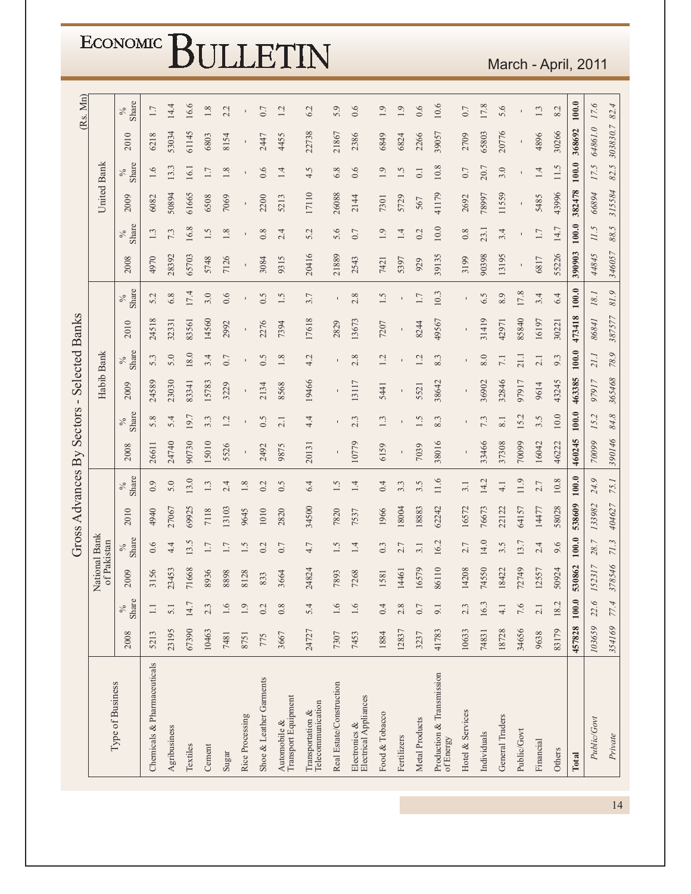|                        | <b>ECONOMIC</b>              |                       |                             |              |          |         |         |                 |                         | LETIN                               |                                       |                          |                                        |                |              |                  |                                        |                  |             |                 |              |           | March - April, 2011 |         |             |          |
|------------------------|------------------------------|-----------------------|-----------------------------|--------------|----------|---------|---------|-----------------|-------------------------|-------------------------------------|---------------------------------------|--------------------------|----------------------------------------|----------------|--------------|------------------|----------------------------------------|------------------|-------------|-----------------|--------------|-----------|---------------------|---------|-------------|----------|
|                        |                              |                       |                             |              |          |         |         |                 |                         |                                     |                                       |                          |                                        |                |              |                  |                                        |                  |             |                 |              |           |                     |         |             |          |
| (Rs. Mn)               |                              | Share<br>$\%$         | 1.7                         | 14.4         | 16.6     | 1.8     | 2.2     |                 | 0.7                     | 1.2                                 | 6.2                                   | 5.9                      | 0.6                                    | 1.9            | 1.9          | 0.6              | 10.6                                   | $0.7$            | 17.8        | 5.6             |              | 1.3       | 8.2                 | 100.0   | 17.6        | 82.4     |
|                        |                              | 2010                  | 6218                        | 53034        | 61145    | 6803    | 8154    | $\mathbf I$     | 2447                    | 4455                                | 22738                                 | 21867                    | 2386                                   | 6849           | 6824         | 2266             | 39057                                  | 2709             | 65803       | 20776           | $\mathbf I$  | 4896      | 30266               | 368692  | 64861.0     | 303830.7 |
|                        |                              | Share<br>$\%$         | 1.6                         | 13.3         | 16.1     | $1.7\,$ | 1.8     |                 | 0.6                     | 1.4                                 | 4.5                                   | 6.8                      | 0.6                                    | 1.9            | 1.5          | $\overline{0}$ . | $10.8$                                 | 0.7              | 20.7        | 3.0             |              | 1.4       | 11.5                | 100.0   | 17.5        | 82.5     |
|                        | United Bank                  | 2009                  | 6082                        | 50894        | 61665    | 6508    | 7069    | $\blacksquare$  | 2200                    | 5213                                | 17110                                 | 26088                    | 2144                                   | 7301           | 5729         | 567              | 41179                                  | 2692             | 78997       | 11559           |              | 5485      | 43996               | 382478  | 66894       | 315584   |
|                        |                              | Share<br>$\%$         | $1.3\,$                     | 7.3          | 16.8     | 1.5     | 1.8     |                 | 0.8                     | 2.4                                 | 5.2                                   | 5.6                      | 0.7                                    | 1.9            | 1.4          | 0.2              | $10.0$                                 | 0.8              | 23.1        | 3.4             |              | $1.7\,$   | 14.7                | 100.0   | 11.5        | 88.5     |
|                        |                              | 2008                  | 4970                        | 28392        | 65703    | 5748    | 7126    |                 | 3084                    | 9315                                | 20416                                 | 21889                    | 2543                                   | 7421           | 5397         | 929              | 39135                                  | 3199             | 90398       | 13195           | $\mathbf{I}$ | 6817      | 55226               | 390903  | 44845       | 346057   |
|                        |                              | $\frac{\%}{\$3hatre}$ | 5.2                         | 6.8          | 17.4     | 3.0     | 0.6     |                 | 0.5                     | 1.5                                 | 3.7                                   | $\mathbf{I}$             | 2.8                                    | 1.5            | $\mathbf{I}$ | $1.7\,$          | 10.3                                   |                  | 6.5         | 8.9             | 17.8         | 3.4       | 6.4                 | 100.0   | $18.1\,$    | $81.9$   |
|                        |                              | 2010                  | 24518                       | 32331        | 83561    | 14560   | 2992    |                 | 2276                    | 7394                                | 17618                                 | 2829                     | 13673                                  | 7207           | $\mathbf{r}$ | 8244             | 49567                                  |                  | 31419       | 42971           | 85840        | 16197     | 30221               | 473418  | 86841       | 387577   |
| <b>Selected Banks</b>  |                              | $\frac{\%}{\$name}$   | 5.3                         | 5.0          | 18.0     | 3.4     | 0.7     |                 | 0.5                     | 1.8                                 | 4.2                                   | $\blacksquare$           | 2.8                                    | 1.2            |              | 1.2              | 8.3                                    |                  | 8.0         | $7.1\,$         | 21.1         | 2.1       | 9.3                 | $100.0$ | 21.1        | 78.9     |
|                        | Habib Bank                   | 2009                  | 24589                       | 23030        | 83341    | 15783   | 3229    | $\blacksquare$  | 2134                    | 8568                                | 19466                                 | $\mathbf{I}$             | 13117                                  | 5441           | $\mathbf{I}$ | 5521             | 38642                                  |                  | 36902       | 32846           | 97917        | 9614      | 43245               | 463385  | 97917       | 365468   |
| $\mathbf I$<br>Sectors |                              | $\frac{\%}{\$3hat}$   | 5.8                         | 5.4          | 19.7     | 3.3     | 1.2     | $\mathbf{I}$    | 0.5                     | 2.1                                 | 4.4                                   | ı                        | 2.3                                    | 1.3            |              | 1.5              | 8.3                                    |                  | 7.3         | 8.1             | 15.2         | 3.5       | 10.0                | 100.0   | 15.2        | $84.8\,$ |
|                        |                              | 2008                  | 26611                       | 24740        | 90730    | 15010   | 5526    |                 | 2492                    | 9875                                | 20131                                 | $\mathbf{r}$             | 10779                                  | 6159           | $\mathbf{r}$ | 7039             | 38016                                  |                  | 33466       | 37308           | 70099        | 16042     | 46222               | 460245  | 70099       | 390146   |
| Advances By            |                              | $\frac{\%}{\$3hat}$   | 0.9                         | 5.0          | 13.0     | 1.3     | 2.4     | $1.8\,$         | 0.2                     | 0.5                                 | 6.4                                   | 1.5                      | 1.4                                    | 0.4            | 3.3          | 3.5              | 11.6                                   | 3.1              | 14.2        | 4.1             | 11.9         | 2.7       | 10.8                | 100.0   | 24.9        | 75.1     |
|                        |                              | 2010                  | 4940                        | 27067        | 69925    | 7118    | 13103   | 9645            | 1010                    | 2820                                | 34500                                 | 7820                     | 7537                                   | 1966           | 18004        | 18883            | 62242                                  | 16572            | 76673       | 22122           | 64157        | 14477     | 58028               | 538609  | 133982      | 404627   |
| S<br>Gros              |                              | Share<br>$\%$         | 0.6                         | 4.4          | 13.5     | $1.7\,$ | $1.7\,$ | 1.5             | 0.2                     | 0.7                                 | 4.7                                   | 1.5                      | 1.4                                    | 0.3            | 2.7          | 3.1              | 16.2                                   | 2.7              | 14.0        | 3.5             | 13.7         | 2.4       | 9.6                 | 100.0   | 28.7        | 71.3     |
|                        | National Bank<br>of Pakistan | 2009                  | 3156                        | 23453        | 71668    | 8936    | 8898    | 8128            | 833                     | 3664                                | 24824                                 | 7893                     | 7268                                   | 1581           | 14461        | 16579            | 86110                                  | 14208            | 74550       | 18422           | 72749        | 12557     | 50924               | 530862  | 152317      | 378546   |
|                        |                              | Share<br>$\%$         | 1.1                         | 5.1          | 14.7     | 2.3     | 1.6     | 1.9             | 0.2                     | 0.8                                 | 5.4                                   | 1.6                      | 1.6                                    | 0.4            | 2.8          | $0.7$            | 9.1                                    | 2.3              | 16.3        | $\frac{1}{4}$   | 7.6          | 2.1       | 18.2                | 100.0   | 22.6        | 77.4     |
|                        |                              | 2008                  | 5213                        | 23195        | 67390    | 10463   | 7481    | 8751            | 775                     | 3667                                | 24727                                 | 7307                     | 7453                                   | 1884           | 12837        | 3237             | 41783                                  | 10633            | 74831       | 18728           | 34656        | 9638      | 83179               | 457828  | 103659      | 354169   |
|                        | Type of Business             |                       | Chemicals & Pharmaceuticals | Agribusiness | Textiles | Cement  | Sugar   | Rice Processing | Shoe & Leather Garments | Transport Equipment<br>Automobile & | Telecommunication<br>Transportation & | Real Estate/Construction | Electrical Appliances<br>Electronics & | Food & Tobacco | Fertilizers  | Metal Products   | Production & Transmission<br>of Energy | Hotel & Services | Individuals | General Traders | Public/Govt  | Financial | Others              | Total   | Public/Govt | Private  |

 $14$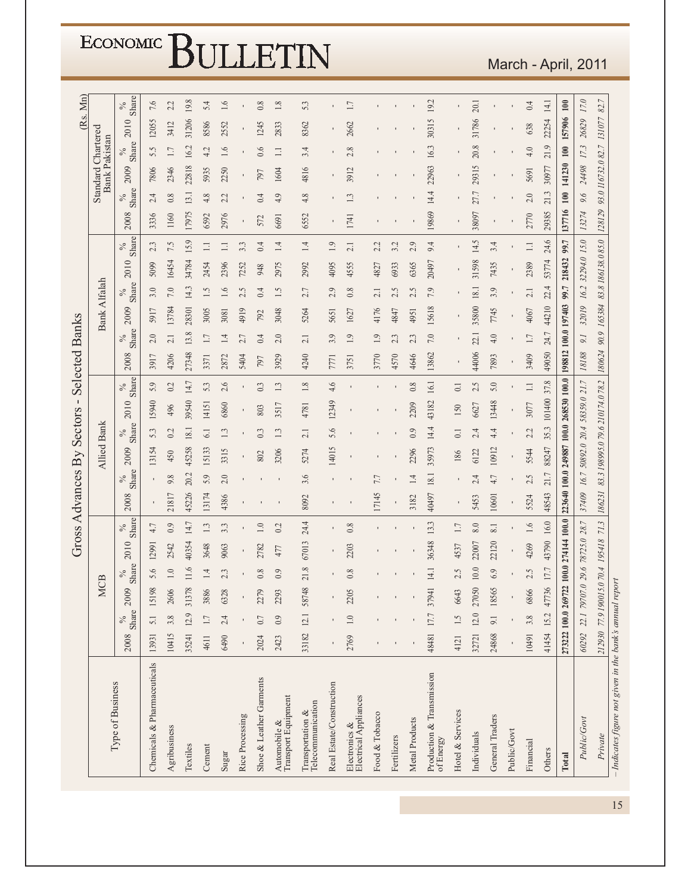March - April, 2011

|                                                                                       |       |               |                                        |                    |       |               | Gross Advances By |               |       |                    | Sectors -                              |                      | <b>Selected Banks</b> |                |                     |                          |                               |               |        |               |                                            |         |        | (Rs. Mn)           |
|---------------------------------------------------------------------------------------|-------|---------------|----------------------------------------|--------------------|-------|---------------|-------------------|---------------|-------|--------------------|----------------------------------------|----------------------|-----------------------|----------------|---------------------|--------------------------|-------------------------------|---------------|--------|---------------|--------------------------------------------|---------|--------|--------------------|
|                                                                                       |       |               |                                        | <b>MCB</b>         |       |               |                   |               |       | <b>Allied Bank</b> |                                        |                      |                       |                | <b>Bank Alfalah</b> |                          |                               |               |        |               | Standard Chartered<br><b>Bank Pakistan</b> |         |        |                    |
| Type of Business                                                                      | 2008  | Share<br>$\%$ | 009<br>$\tilde{\circ}$                 | $\frac{\%}{\$hat}$ | 2010  | Share<br>$\%$ | 2008              | Share<br>$\%$ | 2009  | Share<br>$\%$      | 2010                                   | Share<br>$\delta_0'$ | 2008                  | Share<br>$\%$  | 2009                | $\frac{\%}{\$}$<br>Share | 2010                          | Share<br>$\%$ | 2008   | Share<br>$\%$ | 2009                                       | Share   | 2010   | $\frac{\%}{\$hat}$ |
| Chemicals & Pharmaceuticals                                                           | 13931 | 5.1           | 15198                                  | 5.6                | 12991 | 4.7           |                   |               | 13154 | 5.3                | 15940                                  | 5.9                  | 3917                  | 2.0            | 5917                | 3.0                      | 5099                          | 2.3           | 3336   | 2.4           | 7806                                       | 5.5     | 12055  | 7.6                |
| Agribusiness                                                                          | 10415 | 3.8           | 606<br>$\tilde{\sim}$                  | $1.0\,$            | 2542  | 0.9           | 21817             | 9.8           | 450   | 0.2                | 496                                    | $0.2\,$              | 4206                  | 2.1            | 13784               | $7.0\,$                  | 16454                         | 7.5           | 1160   | $0.8\,$       | 2346                                       | $1.7\,$ | 3412   | 2.2                |
| Textiles                                                                              | 35241 | 12.9          | 31378                                  | 11.6               | 40354 | 14.7          | 45226             | 20.2          | 45258 | 18.1               | 39540                                  | 14.7                 | 27348                 | 13.8           | 28301               | 14.3                     | 34784                         | 15.9          | 17975  | 13.1          | 22818                                      | 16.2    | 31206  | 19.8               |
| Cement                                                                                | 4611  | 1.7           | 3886                                   | 1.4                | 3648  | 1.3           | 13174             | 5.9           | 15133 | 61                 | 14151                                  | 53                   | 3371                  | 1.7            | 3005                | 1.5                      | 2454                          | $\Box$        | 6592   | 4.8           | 5935                                       | 4.2     | 8586   | 5.4                |
| Sugar                                                                                 | 6490  | 2.4           | 6328                                   | 2.3                | 9063  | 3.3           | 4386              | 2.0           | 3315  | 1.3                | 6860                                   | 2.6                  | 2872                  | 1.4            | 3081                | 1.6                      | 2396                          | $\Box$        | 2976   | 2.2           | 2250                                       | 1.6     | 2552   | 1.6                |
| Rice Processing                                                                       |       |               |                                        |                    | ı     |               |                   |               |       | ı                  |                                        |                      | 5404                  | 2.7            | 4919                | 2.5                      | 7252                          | 3.3           |        |               | $\blacksquare$                             |         |        |                    |
| Shoe & Leather Garments                                                               | 2024  | 0.7           | 2279                                   | 0.8                | 2782  | $1.0\,$       |                   |               | 802   | 0.3                | 803                                    | 0.3                  | 797                   | 0.4            | 792                 | 0.4                      | 948                           | 0.4           | 572    | 0.4           | 797                                        | 0.6     | 1245   | $0.8\,$            |
| Automobile &<br>Transport Equipment                                                   | 2423  | 0.9           | 2293                                   | 0.9                | 477   | 0.2           |                   |               | 3206  | 1.3                | 3517                                   | 1.3                  | 3929                  | 2.0            | 3048                | 1.5                      | 2975                          | 14            | 6691   | 4.9           | 1604                                       | $\Box$  | 2833   | $1.8\,$            |
| $\begin{array}{l} \mbox{Transportation} \ \& \\ \mbox{Telecommunication} \end{array}$ | 33182 | 12.1          | 58748                                  | 21.8               | 67013 | 24.4          | 8092              | 3.6           | 5274  | 2.1                | 4781                                   | $1.8\,$              | 4240                  | 2.1            | 5264                | 2.7                      | 2992                          | $1.4\,$       | 6552   | 4.8           | 4816                                       | 3.4     | 8362   | 5.3                |
| Real Estate/Construction                                                              |       |               |                                        |                    |       | ı             |                   |               | 14015 | 5.6                | 12349                                  | 4.6                  | 771                   | 3.9            | 5651                | 2.9                      | 4095                          | 1.9           |        |               |                                            |         |        |                    |
| Electronics $\&$<br>Electrical Appliances                                             | 2769  | $1.0\,$       | 2205                                   | $0.8\,$            | 2203  | $0.8\,$       |                   |               |       |                    |                                        |                      | 3751                  | 1.9            | 1627                | $0.8\,$                  | 4555                          | 2.1           | 1741   | 1.3           | 3912                                       | 2.8     | 2662   | 1.7                |
| Food & Tobacco                                                                        |       |               |                                        |                    |       |               | 17145             | 7.7           |       |                    |                                        |                      | 3770                  | 1.9            | 4176                | 2.1                      | 4827                          | 2.2           |        |               |                                            |         |        |                    |
| Fertilizers                                                                           |       |               |                                        |                    |       |               |                   |               |       |                    |                                        |                      | 4570                  | 2.3            | 4847                | 2.5                      | 6933                          | 3.2           |        |               |                                            |         |        |                    |
| Metal Products                                                                        |       |               |                                        |                    |       |               | 3182              | 14            | 2296  | 0.9                | 2209                                   | $0.8\,$              | 4646                  | 2.3            | 4951                | 2.5                      | 6365                          | 2.9           |        |               |                                            |         |        |                    |
| Production & Transmission<br>of Energy                                                | 48481 | 17.7          | 37941                                  | 14.1               | 36348 | 13.3          | 40497             | 18.1          | 35973 | 14.4               | 43182                                  | 16.1                 | 13862                 | $7.0\,$        | 15618               | 7.9                      | 20497                         | 9.4           | 19869  | 14.4          | 22963                                      | 16.3    | 30315  | 19.2               |
| Hotel & Services                                                                      | 4121  | 1.5           | 6643                                   | 2.5                | 4537  | 1.7           |                   |               | 186   | $\overline{0}$ :   | 150                                    | $\overline{0}$ .     |                       |                |                     |                          |                               |               |        |               |                                            |         |        |                    |
| Individuals                                                                           | 32721 | 12.0          | 27050                                  | 10.0               | 22007 | 8.0           | 5453              | 2.4           | 6122  | 2.4                | 6627                                   | 2.5                  | 44006                 | 22.1           | 35800               | $18.1\,$                 | 31598                         | 14.5          | 38097  | 27.7          | 29315                                      | 20.8    | 31786  | 20.1               |
| General Traders                                                                       | 24868 | 9.1           | 18565                                  | 6.9                | 22120 | 8.1           | 10601             | 4.7           | 10912 | 4.4                | 13448                                  | 5.0                  | 7893                  | 4.0            | 7745                | 3.9                      | 7435                          | 3.4           |        |               |                                            |         |        |                    |
| Public/Govt                                                                           |       |               |                                        |                    |       |               |                   |               |       |                    |                                        |                      |                       |                |                     |                          |                               |               |        |               |                                            |         |        |                    |
| Financial                                                                             | 10491 | 3.8           | 6866                                   | 2.5                | 4269  | 1.6           | 5524              | 2.5           | 5544  | 2.2                | 3077                                   | $\equiv$             | 3409                  | $1.7\,$        | 4067                | 2.1                      | 2389                          | $\equiv$      | 2770   | 2.0           | 5691                                       | 4.0     | 638    | 0.4                |
| Others                                                                                | 41454 | 15.2          | 47736                                  | $17.7\,$           | 43790 | 16.0          | 48543             | 21.7          | 88247 | 35.3               | 101400                                 | 37.8                 | 49050                 | 24.7           | 44210               | 22.4                     | 53774                         | 24.6          | 29385  | 21.3          | 30977                                      | 21.9    | 22254  | 14.1               |
| Total                                                                                 |       |               | 273222 100.0 269722 100.0 274144 100.0 |                    |       |               |                   |               |       |                    | 223640 100.0 249887 100.0 268530 100.0 |                      | 198812 100.0 197403   |                |                     | 7.66                     | 218432                        | 99.7          | 137716 | 100           | 141230                                     | 100     | 157906 | 100                |
| Public/Govt                                                                           | 60292 |               | 22.1 79707.0 29.6 78725.0 28.7         |                    |       |               | 37409             |               |       |                    | 16.7 50892.0 20.4 58359.0 21.7         |                      | 18188                 | $\overline{0}$ | 32019               |                          | 16.2 32294.0 15.0             |               | 13274  | 9.6           | 24498                                      | 173     | 26829  | 17.0               |
| Private                                                                               |       |               | 212930 77.9 190015.0 70.4 195418       |                    |       | 71.3          |                   |               |       |                    | 186231 83.3198995.079.6210174.078.2    |                      | 180624                |                |                     |                          | 90.9 165384 83.8 186138.085.0 |               |        |               | 128129 93.0 116732.0 82.7                  |         | 131077 | 82.7               |
| - Indicates figure not given in the bank's annual report                              |       |               |                                        |                    |       |               |                   |               |       |                    |                                        |                      |                       |                |                     |                          |                               |               |        |               |                                            |         |        |                    |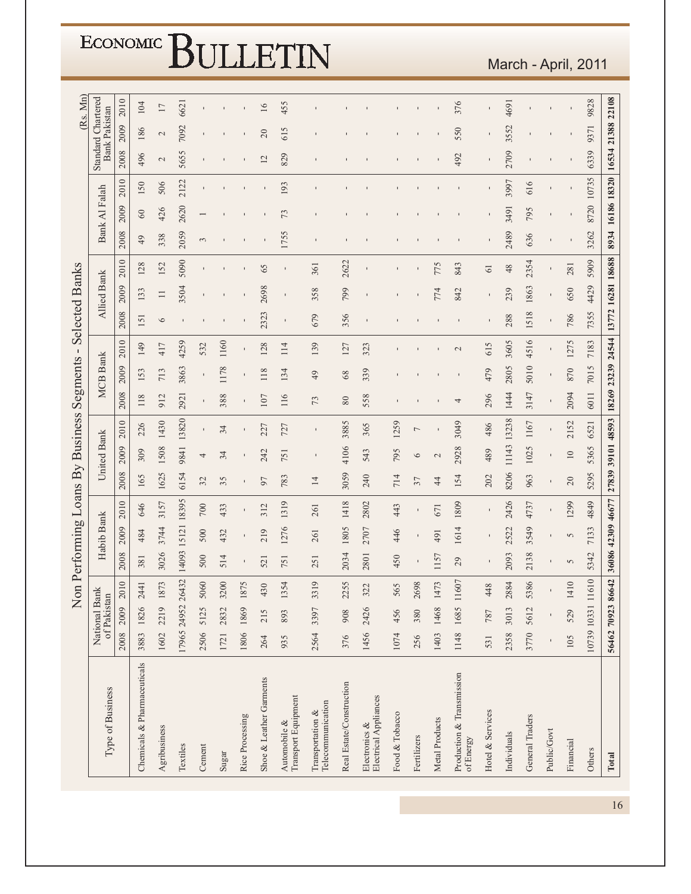|                                        |                   |                              | Non        |          |            |                   |                 |                 | Performing Loans By Business |                | Segments        | $\blacksquare$ | <b>Selected Banks</b>               |                    |                 |                  |               |                |                    |                      | (Rs. Mn)        |
|----------------------------------------|-------------------|------------------------------|------------|----------|------------|-------------------|-----------------|-----------------|------------------------------|----------------|-----------------|----------------|-------------------------------------|--------------------|-----------------|------------------|---------------|----------------|--------------------|----------------------|-----------------|
| Type of Business                       |                   | National Bank<br>of Pakistan |            |          | Habib Bank |                   |                 | United Bank     |                              |                | <b>MCB</b> Bank |                |                                     | <b>Allied Bank</b> |                 |                  | Bank Al Falah |                | Standard Chartered | <b>Bank Pakistan</b> |                 |
|                                        | 2008              | 2009                         | 2010       | 2008     | 2009       | 2010              | 2008            | 2009            | 2010                         | 2008           | 2009            | 2010           | 2008                                | 2009               | 2010            | 2008             | 2009          | 2010           | 2008               | 2009                 | 2010            |
| Chemicals & Pharmaceuticals            |                   | 3883 1826 2441               |            | 381      | 484        | 646               | 165             | 309             | 226                          | 118            | 153             | 149            | 151                                 | 133                | 128             | 49               | $\odot$       | 150            | 496                | 186                  | 104             |
| Agribusiness                           | 1602              | 2219 1873                    |            | 3026     | 3744       | 3157              | 1625            | 1508            | 1430                         | 912            | 713             | 417            | $\circ$                             | $\Box$             | 152             | 338              | 426           | 506            | $\mathbf{C}$       | $\mathcal{L}$        | $\overline{17}$ |
| Textiles                               |                   | 17965 24952 26432            |            | 14093    | 15121      | 18395             | 6154            | 9841            | 13820                        | 2921           | 3863            | 4259           |                                     | 3504               | 5090            | 2059             | 2620          | 2122           | 5655               | 7092                 | 6621            |
| Cement                                 |                   | 2506 5125 5060               |            | 500      | 500        | 700               | 32              | 4               | $\blacksquare$               | $\blacksquare$ | $\blacksquare$  | 532            |                                     |                    |                 | $\sim$           |               |                |                    |                      |                 |
| Sugar                                  | 1721              | 2832                         | 3200       | 514      | 432        | 433               | 35              | 34              | 34                           | 388            | 1178            | 1160           |                                     |                    |                 |                  |               |                |                    |                      |                 |
| Rice Processing                        | 1806              | 1869                         | 1875       |          |            |                   |                 |                 |                              |                |                 |                |                                     |                    |                 |                  |               |                |                    |                      |                 |
| Shoe & Leather Garments                | 264               | 215                          | 430        | 521      | 219        | 312               | 97              | 242             | 227                          | 107            | 118             | 128            | 2323                                | 2698               | 65              |                  |               |                | 12                 | 20                   | $\overline{16}$ |
| Transport Equipment<br>Automobile &    | 935               | 893                          | 1354       | 751      | 1276       | 1319              | 783             | 751             | 727                          | 116            | 134             | 114            | $\mathbf{I}$                        |                    |                 | 1755             | 73            | 193            | 829                | 615                  | 455             |
| Telecommunication<br>Transportation &  | 2564              | 3397                         | 3319       | 251      | 261        | 261               | $\overline{14}$ | $\blacksquare$  |                              | 73             | 49              | 139            | 679                                 | 358                | 361             |                  |               |                |                    |                      |                 |
| Real Estate/Construction               | 376               | 908                          | 2255       | 2034     | 1805       | 1418              | 3059            | 4106            | 3885                         | 80             | 68              | 127            | 356                                 | 799                | 2622            |                  |               |                |                    |                      |                 |
| Electrical Appliances<br>Electronics & | 1456              | 2426                         | 322        | 2801     | 2707       | 2802              | 240             | 543             | 365                          | 558            | 339             | 323            |                                     |                    |                 |                  |               |                |                    |                      |                 |
| Food & Tobacco                         | 1074              | 456                          | 565        | 450      | 446        | 443               | 714             | 795             | 1259                         |                |                 |                |                                     |                    |                 |                  |               |                |                    |                      |                 |
| Fertilizers                            | 256               |                              | 380 2698   |          |            | $\mathbf{I}$      | 37              | 6               | $\overline{\phantom{0}}$     |                |                 |                |                                     |                    |                 |                  |               |                |                    |                      |                 |
| Metal Products                         |                   | 1403 1468 1473               |            | 1157     | 491        | 671               | $\frac{4}{4}$   | $\mathbf{C}$    |                              |                |                 |                |                                     | 774                | 775             |                  |               |                |                    |                      |                 |
| Production & Transmission<br>of Energy | 1148              |                              | 1685 11607 | 29       | 1614       | 1809              | 154             | 2928            | 3049                         | 4              |                 | $\mathbf 2$    |                                     | 842                | 843             |                  |               |                | 492                | 550                  | 376             |
| Hotel & Services                       | 531               | 787                          | 448        |          |            | $\mathbf{I}$      | 202             | 489             | 486                          | 296            | 479             | 615            |                                     | $\blacksquare$     | $\overline{61}$ |                  |               |                |                    |                      |                 |
| Individuals                            | 2358              | 3013                         | 2884       | 2093     | 2522       | 2426              | 8206            | 11143           | 13238                        | 1444           | 2805            | 3605           | 288                                 | 239                | 48              | 2489             | 3491          | 3997           | 2709               | 3552                 | 4691            |
| General Traders                        | 3770              | 5612                         | 5386       | 2138     | 3549       | 4737              | 963             | 1025            | 1167                         | 3147           | 5010            | 4516           | 1518                                | 1863               | 2354            | 636              | 795           | 616            |                    |                      |                 |
| Public/Govt                            |                   |                              |            |          |            |                   | $\blacksquare$  | $\blacksquare$  |                              |                | $\mathbf{I}$    | $\mathbf I$    | $\mathbf I$                         | $\mathbf I$        | $\mathbf I$     |                  |               | $\blacksquare$ |                    |                      |                 |
| Financial                              | 105               | 529                          | 1410       | $\sigma$ | 5          | 1299              | 20              | $\overline{10}$ | 2152                         | 2094           | 870             | 1275           | 786                                 | 650                | 281             |                  |               |                |                    |                      |                 |
| Others                                 |                   | 10739 10331 11610            |            | 5342     | 7133       | 4849              | 5295            | 5365            | 6521                         | 6011           | 7015            | 7183           | 7355                                | 4429               | 5909            | 3262             | 8720          | 10735          | 6339               | 9371                 | 9828            |
| <b>Total</b>                           | 56462 70923 86642 |                              |            |          |            | 36086 42309 46677 |                 |                 | 27839 39101 48593            |                |                 |                | 18269 23239 24544 13772 16281 18688 |                    |                 | 8934 16186 18320 |               |                | 16534 21388 22108  |                      |                 |

March - April, 2011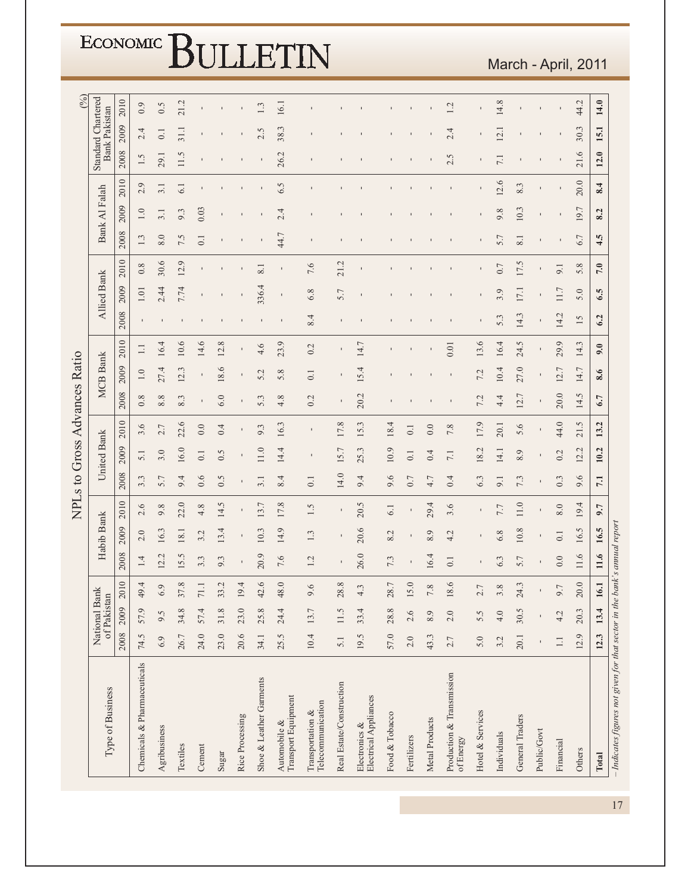|                              |                              |           |                             |                  |                   |                     |                      |                 |                                         | ECONOMIC BULLETIN                   |                                       |                          |                                        |                   |                  |                     |                                        |                  |                     |                             |                |           | March - April, 2011    |                                                                                  |
|------------------------------|------------------------------|-----------|-----------------------------|------------------|-------------------|---------------------|----------------------|-----------------|-----------------------------------------|-------------------------------------|---------------------------------------|--------------------------|----------------------------------------|-------------------|------------------|---------------------|----------------------------------------|------------------|---------------------|-----------------------------|----------------|-----------|------------------------|----------------------------------------------------------------------------------|
|                              |                              |           |                             |                  |                   |                     |                      |                 |                                         |                                     |                                       |                          |                                        |                   |                  |                     |                                        |                  |                     |                             |                |           |                        |                                                                                  |
| $($ % $)$                    | <b>Standard Chartered</b>    | 2010      | 0.9                         | 0.5              | 21.2              |                     |                      |                 | 1.3                                     | 16.1                                |                                       |                          |                                        |                   |                  |                     | 1.2                                    |                  | 14.8                |                             |                |           | 44.2                   | 14.0                                                                             |
|                              | <b>Bank Pakistan</b>         | 2009      | 2.4                         | $\overline{0}$ . | $\overline{31.1}$ |                     |                      |                 | 2.5                                     | 38.3                                |                                       |                          |                                        |                   |                  |                     | 2.4                                    |                  | 12.1                |                             |                |           | 30.3                   | 15.1                                                                             |
|                              |                              | 2008      | 1.5                         | 29.1             | 11.5              |                     |                      |                 |                                         | 26.2                                |                                       |                          |                                        |                   |                  |                     | 2.5                                    |                  |                     |                             |                |           | 21.6                   | 12.0                                                                             |
|                              |                              | 2010      | 2.9                         | 3.1              | 6.1               |                     |                      |                 |                                         | 6.5                                 |                                       |                          |                                        |                   |                  |                     |                                        |                  | 12.6                | 8.3                         |                |           | 20.0                   | 8.4                                                                              |
|                              | Bank Al Falah                | 2009      | 1.0                         | 3.1              | 9.3               | 0.03                |                      |                 |                                         | 2.4                                 |                                       |                          |                                        |                   |                  |                     |                                        |                  | 9.8                 | 10.3                        | $\blacksquare$ |           | 19.7                   | 8.2                                                                              |
|                              |                              | 2008      | 1.3                         | 8.0              | 7.5               | $0.1\,$             |                      |                 |                                         | 44.7                                |                                       |                          |                                        |                   |                  |                     |                                        |                  | 5.7                 | 8.1                         | $\blacksquare$ |           | 6.7                    | 4.5                                                                              |
|                              |                              | 2010      | 0.8                         | 30.6             | 12.9              |                     |                      |                 | $\overline{8.1}$                        |                                     | 7.6                                   | 21.2                     |                                        |                   |                  |                     |                                        |                  | 0.7                 | 17.5                        | $\blacksquare$ | 9.1       | 5.8                    | 7.0                                                                              |
|                              | <b>Allied Bank</b>           | 2009      | $1.01\,$                    | 2.44             | 7.74              |                     |                      |                 | 336.4                                   | ı                                   | 6.8                                   | 5.7                      |                                        |                   |                  |                     |                                        |                  | 3.9                 | 17.1                        |                | 11.7      | 5.0                    | 6.5                                                                              |
|                              |                              | 2008      |                             |                  |                   |                     |                      |                 |                                         |                                     | 8.4                                   |                          |                                        |                   |                  |                     |                                        |                  | 5.3                 | 14.3                        | $\mathbf{I}$   | 14.2      | 15                     | 6.2                                                                              |
|                              |                              | 2010      | $\Box$                      | 16.4             | 10.6              | 14.6                | 12.8                 |                 | 4.6                                     | 23.9                                | 0.2                                   |                          | 14.7                                   |                   |                  |                     | 0.01                                   | 13.6             | 16.4                | 24.5                        | $\mathbf{I}$   | 29.9      | 14.3                   | 9.0                                                                              |
|                              | <b>MCB</b> Bank              | 2009      | $1.0\,$                     | 27.4             | 12.3              | $\mathbf I$         | 18.6                 |                 | 5.2                                     | 5.8                                 | 0.1                                   |                          | 15.4                                   |                   |                  |                     |                                        | 7.2              | 10.4                | 27.0                        | $\mathbf{I}$   | 12.7      | 14.7                   | 8.6                                                                              |
|                              |                              | 2008      | 0.8                         | 8.8              | 8.3               | $\mathbf I$         | 6.0                  |                 | 5.3                                     | 4.8                                 | 0.2                                   |                          | 20.2                                   |                   |                  |                     |                                        | 7.2              | 4.4                 | 12.7                        | $\mathbf I$    | 20.0      | 14.5                   | 6.7                                                                              |
| NPLs to Gross Advances Ratio |                              | 2010      | 3.6                         | 2.7              | 22.6              | 0.0                 | 0.4                  |                 | 9.3                                     | 16.3                                |                                       | 17.8                     | 15.3                                   | 18.4              | $\overline{0}$ . | 0.0                 | 7.8                                    | 17.9             | 20.1                | 5.6                         | $\mathbf{I}$   | 44.0      | 21.5                   | 13.2                                                                             |
|                              | United Bank                  | 2009      | 5.1                         | 3.0              | 16.0              | 0.1                 | 0.5                  |                 | 11.0                                    | 14.4                                |                                       | 15.7                     | 25.3                                   | 10.9              | $\overline{0}$ . | 0.4                 | 7.1                                    | 18.2             | 14.1                | 8.9                         |                | 0.2       | 12.2                   | 10.2                                                                             |
|                              |                              | 2008      | 3.3                         | 5.7              | 9.4               | 0.6                 | 0.5                  |                 | 3.1                                     | 8.4                                 | $\overline{0}$ .                      | 14.0                     | 9.4                                    | 9.6               | 0.7              | 4.7                 | 0.4                                    | 6.3              | 9.1                 | 7.3                         |                | 0.3       | 9.6                    | 7.1                                                                              |
|                              |                              | 2010      | 2.6                         | 9.8              | 22.0              | 4.8                 | 14.5                 |                 | 13.7                                    | 17.8                                | 1.5                                   |                          | 20.5                                   | 61                |                  | 29.4                | 3.6                                    |                  | 7.7                 | 11.0                        |                | $8.0\,$   | 19.4                   | 9.7                                                                              |
|                              | <b>Bank</b>                  | 2009      | $2.0\,$                     | Ċ.<br>16         | 18.1              | $\mathcal{L}$<br>S. | 4<br>$\overline{13}$ |                 | $\ddot{\phantom{1}}$<br>$\overline{10}$ | 0<br>$\overline{4}$                 | 1.3                                   |                          | ِ<br>20.                               | $\mathbf 2$<br>∞ं |                  | $\circ$<br>$\infty$ | 4.2                                    |                  | $\infty$<br>$\circ$ | $\infty$<br>$\overline{10}$ |                | 0.1       | $\ddot{\Omega}$<br>16. | port<br>r.<br>16                                                                 |
|                              | Habib                        | 2008      | 1.4                         | 12.2             | 15.5              | 3.3                 | 9.3                  | $\mathbf I$     | 20.9                                    | 7.6                                 | 1.2                                   | $\blacksquare$           | 26.0                                   | 7.3               |                  | 16.4                | 0.1                                    |                  | 6.3                 | 5.7                         |                | 0.0       | 11.6                   | $11.6$                                                                           |
|                              |                              |           | 49.4                        | 6.9              | 37.8              | 71.1                | 33.2                 | 19.4            | 42.6                                    | 48.0                                | 9.6                                   | 28.8                     | 4.3                                    | 28.7              | 15.0             | 7.8                 | 18.6                                   | 2.7              | 3.8                 | 24.3                        | $\blacksquare$ | 9.7       | 20.0                   | 16.1                                                                             |
|                              | National Bank<br>of Pakistan | 2009 2010 | 57.9                        | 9.5              | 34.8              | 57.4                | 31.8                 | 23.0            | 25.8                                    | 24.4                                | 13.7                                  | 11.5                     | 33.4                                   | 28.8              | 2.6              | 8.9                 | 2.0                                    | 5.5              | 4.0                 | 30.5                        |                | 4.2       | 20.3                   | 13.4                                                                             |
|                              |                              | 2008      | 74.5                        | 6.9              | 26.7              | 24.0                | 23.0                 | 20.6            | 34.1                                    | 25.5                                | 10.4                                  | 5.1                      | 19.5                                   | 57.0              | 2.0              | 43.3                | 2.7                                    | 5.0              | 3.2                 | 20.1                        |                | $\Box$    | 12.9                   | 12.3                                                                             |
|                              | Type of Business             |           | Chemicals & Pharmaceuticals | Agribusiness     | Textiles          | Cement              | Sugar                | Rice Processing | Shoe & Leather Garments                 | Transport Equipment<br>Automobile & | Telecommunication<br>Transportation & | Real Estate/Construction | Electrical Appliances<br>Electronics & | Food & Tobacco    | Fertilizers      | Metal Products      | Production & Transmission<br>of Energy | Hotel & Services | Individuals         | General Traders             | Public/Govt    | Financial | Others                 | Indicates figures not given for that sector in the bank's annual really<br>Total |

#### March - April, 2011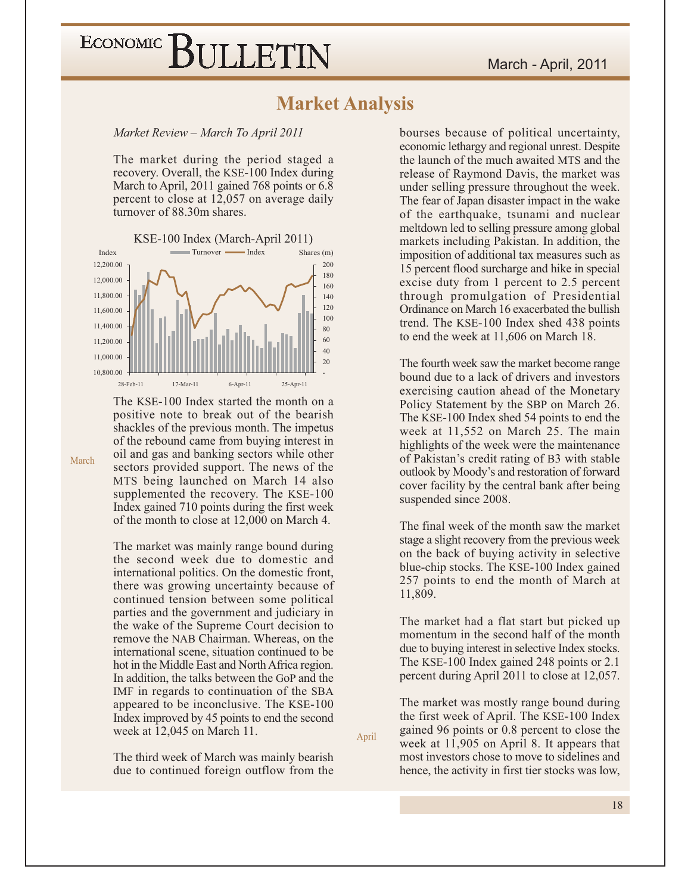#### **Market Analysis**

Market Review – March To April 2011

The market during the period staged a recovery. Overall, the KSE-100 Index during March to April, 2011 gained 768 points or 6.8 percent to close at 12,057 on average daily turnover of 88.30m shares.



The KSE-100 Index started the month on a positive note to break out of the bearish shackles of the previous month. The impetus of the rebound came from buying interest in oil and gas and banking sectors while other sectors provided support. The news of the MTS being launched on March 14 also supplemented the recovery. The KSE-100 Index gained 710 points during the first week of the month to close at 12,000 on March 4.

The market was mainly range bound during the second week due to domestic and international politics. On the domestic front, there was growing uncertainty because of continued tension between some political parties and the government and judiciary in the wake of the Supreme Court decision to remove the NAB Chairman. Whereas, on the international scene, situation continued to be hot in the Middle East and North Africa region. In addition, the talks between the GoP and the IMF in regards to continuation of the SBA appeared to be inconclusive. The KSE-100 Index improved by 45 points to end the second week at 12,045 on March 11.

The third week of March was mainly bearish due to continued foreign outflow from the bourses because of political uncertainty, economic lethargy and regional unrest. Despite the launch of the much awaited MTS and the release of Raymond Davis, the market was under selling pressure throughout the week. The fear of Japan disaster impact in the wake of the earthquake, tsunami and nuclear meltdown led to selling pressure among global markets including Pakistan. In addition, the imposition of additional tax measures such as 15 percent flood surcharge and hike in special excise duty from 1 percent to 2.5 percent through promulgation of Presidential Ordinance on March 16 exacerbated the bullish trend. The KSE-100 Index shed 438 points to end the week at 11,606 on March 18.

The fourth week saw the market become range bound due to a lack of drivers and investors exercising caution ahead of the Monetary Policy Statement by the SBP on March 26. The KSE-100 Index shed 54 points to end the week at 11.552 on March 25. The main highlights of the week were the maintenance of Pakistan's credit rating of B3 with stable outlook by Moody's and restoration of forward cover facility by the central bank after being suspended since 2008.

The final week of the month saw the market stage a slight recovery from the previous week on the back of buying activity in selective blue-chip stocks. The KSE-100 Index gained 257 points to end the month of March at 11,809.

The market had a flat start but picked up momentum in the second half of the month due to buying interest in selective Index stocks. The KSE-100 Index gained 248 points or 2.1 percent during April 2011 to close at 12,057.

The market was mostly range bound during the first week of April. The KSE-100 Index gained 96 points or 0.8 percent to close the week at 11,905 on April 8. It appears that most investors chose to move to sidelines and hence, the activity in first tier stocks was low,

April

March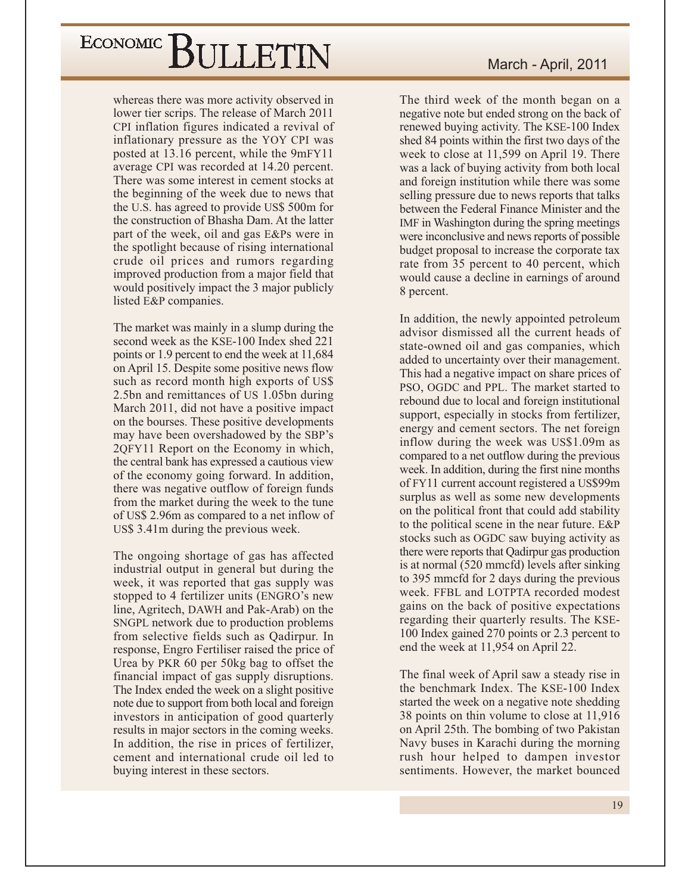whereas there was more activity observed in lower tier scrips. The release of March 2011 CPI inflation figures indicated a revival of inflationary pressure as the YOY CPI was posted at 13.16 percent, while the 9mFY11 average CPI was recorded at 14.20 percent. There was some interest in cement stocks at the beginning of the week due to news that the U.S. has agreed to provide US\$ 500m for the construction of Bhasha Dam. At the latter part of the week, oil and gas E&Ps were in the spotlight because of rising international crude oil prices and rumors regarding improved production from a major field that would positively impact the 3 major publicly listed E&P companies.

The market was mainly in a slump during the second week as the KSE-100 Index shed 221 points or 1.9 percent to end the week at 11,684 on April 15. Despite some positive news flow such as record month high exports of US\$ 2.5bn and remittances of US 1.05bn during March 2011, did not have a positive impact on the bourses. These positive developments may have been overshadowed by the SBP's 2QFY11 Report on the Economy in which, the central bank has expressed a cautious view of the economy going forward. In addition, there was negative outflow of foreign funds from the market during the week to the tune of US\$ 2.96m as compared to a net inflow of US\$ 3.41 m during the previous week.

The ongoing shortage of gas has affected industrial output in general but during the week, it was reported that gas supply was stopped to 4 fertilizer units (ENGRO's new line, Agritech, DAWH and Pak-Arab) on the SNGPL network due to production problems from selective fields such as Qadirpur. In response, Engro Fertiliser raised the price of Urea by PKR 60 per 50kg bag to offset the financial impact of gas supply disruptions. The Index ended the week on a slight positive note due to support from both local and foreign investors in anticipation of good quarterly results in major sectors in the coming weeks. In addition, the rise in prices of fertilizer, cement and international crude oil led to buying interest in these sectors.

The third week of the month began on a negative note but ended strong on the back of renewed buying activity. The KSE-100 Index shed 84 points within the first two days of the week to close at 11,599 on April 19. There was a lack of buying activity from both local and foreign institution while there was some selling pressure due to news reports that talks between the Federal Finance Minister and the IMF in Washington during the spring meetings were inconclusive and news reports of possible budget proposal to increase the corporate tax rate from 35 percent to 40 percent, which would cause a decline in earnings of around 8 percent.

In addition, the newly appointed petroleum advisor dismissed all the current heads of state-owned oil and gas companies, which added to uncertainty over their management. This had a negative impact on share prices of PSO, OGDC and PPL. The market started to rebound due to local and foreign institutional support, especially in stocks from fertilizer, energy and cement sectors. The net foreign inflow during the week was US\$1.09m as compared to a net outflow during the previous week. In addition, during the first nine months of FY11 current account registered a US\$99m surplus as well as some new developments on the political front that could add stability to the political scene in the near future. E&P stocks such as OGDC saw buying activity as there were reports that Qadirpur gas production is at normal (520 mmcfd) levels after sinking to 395 mmcfd for 2 days during the previous week. FFBL and LOTPTA recorded modest gains on the back of positive expectations regarding their quarterly results. The KSE-100 Index gained 270 points or 2.3 percent to end the week at 11,954 on April 22.

The final week of April saw a steady rise in the benchmark Index. The KSE-100 Index started the week on a negative note shedding 38 points on thin volume to close at 11,916 on April 25th. The bombing of two Pakistan Navy buses in Karachi during the morning rush hour helped to dampen investor sentiments. However, the market bounced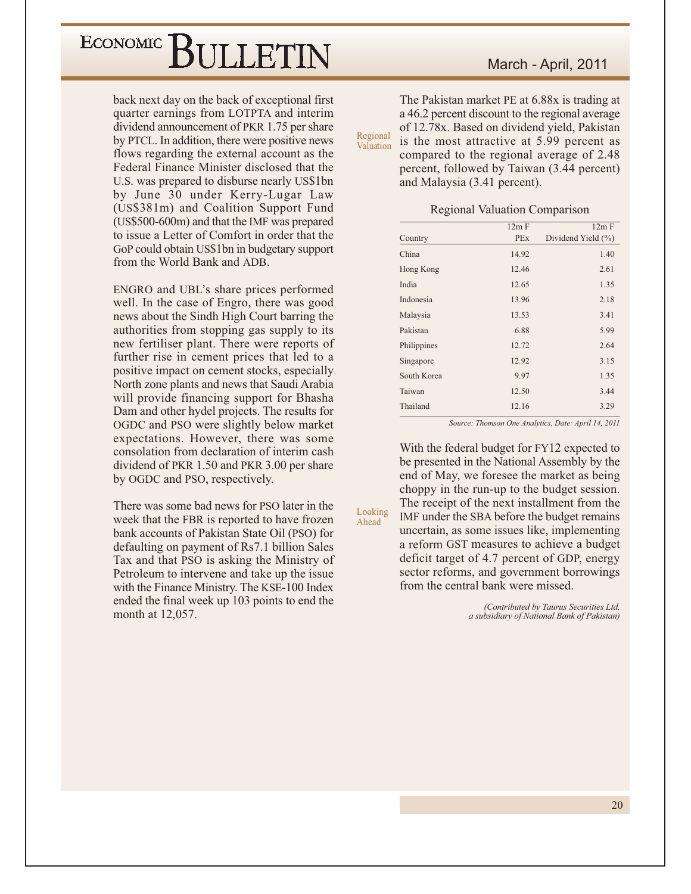back next day on the back of exceptional first quarter earnings from LOTPTA and interim dividend announcement of PKR 1.75 per share by PTCL. In addition, there were positive news flows regarding the external account as the Federal Finance Minister disclosed that the U.S. was prepared to disburse nearly US\$1bn by June 30 under Kerry-Lugar Law (US\$381m) and Coalition Support Fund (US\$500-600m) and that the IMF was prepared to issue a Letter of Comfort in order that the GoP could obtain US\$1bn in budgetary support from the World Bank and ADB.

ENGRO and UBL's share prices performed well. In the case of Engro, there was good news about the Sindh High Court barring the authorities from stopping gas supply to its new fertiliser plant. There were reports of further rise in cement prices that led to a positive impact on cement stocks, especially North zone plants and news that Saudi Arabia will provide financing support for Bhasha Dam and other hydel projects. The results for OGDC and PSO were slightly below market expectations. However, there was some consolation from declaration of interim cash dividend of PKR 1.50 and PKR 3.00 per share by OGDC and PSO, respectively.

There was some bad news for PSO later in the week that the FBR is reported to have frozen bank accounts of Pakistan State Oil (PSO) for defaulting on payment of Rs7.1 billion Sales Tax and that PSO is asking the Ministry of Petroleum to intervene and take up the issue with the Finance Ministry. The KSE-100 Index ended the final week up 103 points to end the month at 12,057.

The Pakistan market PE at 6.88x is trading at a 46.2 percent discount to the regional average of 12.78x. Based on dividend yield, Pakistan Regional is the most attractive at 5.99 percent as Valuation compared to the regional average of 2.48 percent, followed by Taiwan (3.44 percent) and Malaysia (3.41 percent).

| <b>Regional Valuation Comparison</b> |  |  |  |
|--------------------------------------|--|--|--|
|                                      |  |  |  |

|             | 12m F      | 12m F              |
|-------------|------------|--------------------|
| Country     | <b>PEx</b> | Dividend Yield (%) |
| China       | 14.92      | 1.40               |
| Hong Kong   | 12.46      | 2.61               |
| India       | 12.65      | 1.35               |
| Indonesia   | 13.96      | 2.18               |
| Malaysia    | 13.53      | 3.41               |
| Pakistan    | 6.88       | 5.99               |
| Philippines | 12.72      | 2.64               |
| Singapore   | 12.92      | 3.15               |
| South Korea | 9.97       | 1.35               |
| Taiwan      | 12.50      | 3.44               |
| Thailand    | 12.16      | 3.29               |
|             |            |                    |

Source: Thomson One Analytics, Date: April 14, 2011

With the federal budget for FY12 expected to be presented in the National Assembly by the end of May, we foresee the market as being choppy in the run-up to the budget session. The receipt of the next installment from the IMF under the SBA before the budget remains uncertain, as some issues like, implementing a reform GST measures to achieve a budget deficit target of 4.7 percent of GDP, energy sector reforms, and government borrowings from the central bank were missed.

Looking

Ahead

(Contributed by Taurus Securities Ltd, a subsidiary of National Bank of Pakistan)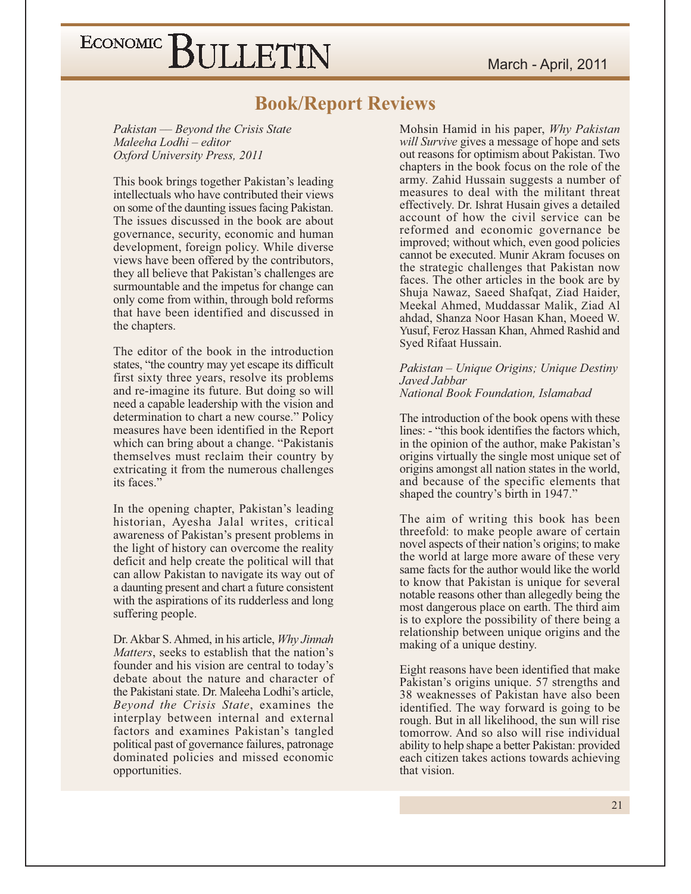#### **Book/Report Reviews**

Pakistan — Beyond the Crisis State Maleeha Lodhi - editor Oxford University Press, 2011

This book brings together Pakistan's leading intellectuals who have contributed their views on some of the daunting issues facing Pakistan. The issues discussed in the book are about governance, security, economic and human development, foreign policy. While diverse views have been offered by the contributors, they all believe that Pakistan's challenges are surmountable and the impetus for change can only come from within, through bold reforms that have been identified and discussed in the chapters.

The editor of the book in the introduction states, "the country may yet escape its difficult first sixty three years, resolve its problems and re-imagine its future. But doing so will need a capable leadership with the vision and determination to chart a new course." Policy measures have been identified in the Report which can bring about a change. "Pakistanis" themselves must reclaim their country by extricating it from the numerous challenges its faces."

In the opening chapter, Pakistan's leading historian, Ayesha Jalal writes, critical awareness of Pakistan's present problems in the light of history can overcome the reality deficit and help create the political will that can allow Pakistan to navigate its way out of a daunting present and chart a future consistent with the aspirations of its rudderless and long suffering people.

Dr. Akbar S. Ahmed, in his article, Why Jinnah Matters, seeks to establish that the nation's founder and his vision are central to today's debate about the nature and character of the Pakistani state. Dr. Maleeha Lodhi's article. Beyond the Crisis State, examines the interplay between internal and external factors and examines Pakistan's tangled political past of governance failures, patronage dominated policies and missed economic opportunities.

Mohsin Hamid in his paper, Why Pakistan will Survive gives a message of hope and sets out reasons for optimism about Pakistan. Two chapters in the book focus on the role of the army. Zahid Hussain suggests a number of measures to deal with the militant threat effectively. Dr. Ishrat Husain gives a detailed account of how the civil service can be reformed and economic governance be improved; without which, even good policies cannot be executed. Munir Akram focuses on the strategic challenges that Pakistan now faces. The other articles in the book are by Shuja Nawaz, Saeed Shafqat, Ziad Haider, Meekal Ahmed, Muddassar Malik, Ziad Al ahdad, Shanza Noor Hasan Khan, Moeed W. Yusuf, Feroz Hassan Khan, Ahmed Rashid and Syed Rifaat Hussain.

#### Pakistan – Unique Origins; Unique Destiny Javed Jabhar National Book Foundation, Islamabad

The introduction of the book opens with these lines: - "this book identifies the factors which. in the opinion of the author, make Pakistan's origins virtually the single most unique set of origins amongst all nation states in the world, and because of the specific elements that shaped the country's birth in 1947."

The aim of writing this book has been threefold: to make people aware of certain novel aspects of their nation's origins; to make the world at large more aware of these very same facts for the author would like the world to know that Pakistan is unique for several notable reasons other than allegedly being the most dangerous place on earth. The third aim is to explore the possibility of there being a relationship between unique origins and the making of a unique destiny.

Eight reasons have been identified that make Pakistan's origins unique. 57 strengths and 38 weaknesses of Pakistan have also been identified. The way forward is going to be rough. But in all likelihood, the sun will rise tomorrow. And so also will rise individual ability to help shape a better Pakistan: provided each citizen takes actions towards achieving that vision.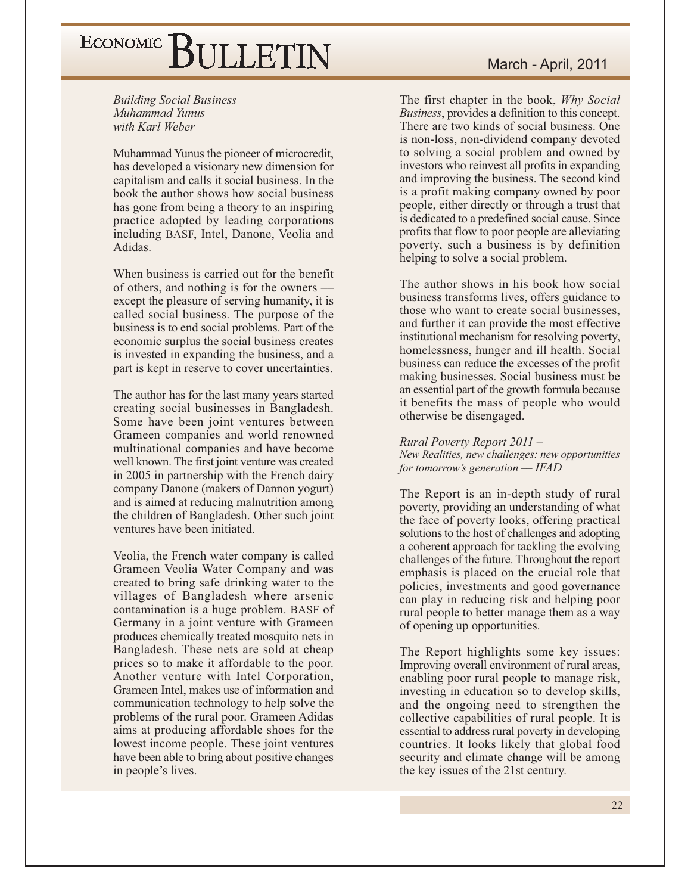**Building Social Business** Muhammad Yunus with Karl Weber

Muhammad Yunus the pioneer of microcredit, has developed a visionary new dimension for capitalism and calls it social business. In the book the author shows how social business has gone from being a theory to an inspiring practice adopted by leading corporations including BASF, Intel, Danone, Veolia and Adidas.

When business is carried out for the benefit of others, and nothing is for the owners – except the pleasure of serving humanity, it is called social business. The purpose of the business is to end social problems. Part of the economic surplus the social business creates is invested in expanding the business, and a part is kept in reserve to cover uncertainties.

The author has for the last many years started creating social businesses in Bangladesh. Some have been joint ventures between Grameen companies and world renowned multinational companies and have become well known. The first joint venture was created in 2005 in partnership with the French dairy company Danone (makers of Dannon yogurt) and is aimed at reducing malnutrition among the children of Bangladesh. Other such joint ventures have been initiated.

Veolia, the French water company is called Grameen Veolia Water Company and was created to bring safe drinking water to the villages of Bangladesh where arsenic contamination is a huge problem. BASF of Germany in a joint venture with Grameen produces chemically treated mosquito nets in Bangladesh. These nets are sold at cheap prices so to make it affordable to the poor. Another venture with Intel Corporation, Grameen Intel, makes use of information and communication technology to help solve the problems of the rural poor. Grameen Adidas aims at producing affordable shoes for the lowest income people. These joint ventures have been able to bring about positive changes in people's lives.

The first chapter in the book, Why Social *Business*, provides a definition to this concept. There are two kinds of social business. One is non-loss, non-dividend company devoted to solving a social problem and owned by investors who reinvest all profits in expanding and improving the business. The second kind is a profit making company owned by poor people, either directly or through a trust that is dedicated to a predefined social cause. Since profits that flow to poor people are alleviating poverty, such a business is by definition helping to solve a social problem.

The author shows in his book how social business transforms lives, offers guidance to those who want to create social businesses, and further it can provide the most effective institutional mechanism for resolving poverty, homelessness, hunger and ill health. Social business can reduce the excesses of the profit making businesses. Social business must be an essential part of the growth formula because it benefits the mass of people who would otherwise be disengaged.

#### Rural Poverty Report 2011 -

New Realities, new challenges: new opportunities for tomorrow's generation  $-$  IFAD

The Report is an in-depth study of rural poverty, providing an understanding of what the face of poverty looks, offering practical solutions to the host of challenges and adopting a coherent approach for tackling the evolving challenges of the future. Throughout the report emphasis is placed on the crucial role that policies, investments and good governance can play in reducing risk and helping poor rural people to better manage them as a way of opening up opportunities.

The Report highlights some key issues: Improving overall environment of rural areas, enabling poor rural people to manage risk, investing in education so to develop skills, and the ongoing need to strengthen the collective capabilities of rural people. It is essential to address rural poverty in developing countries. It looks likely that global food security and climate change will be among the key issues of the 21st century.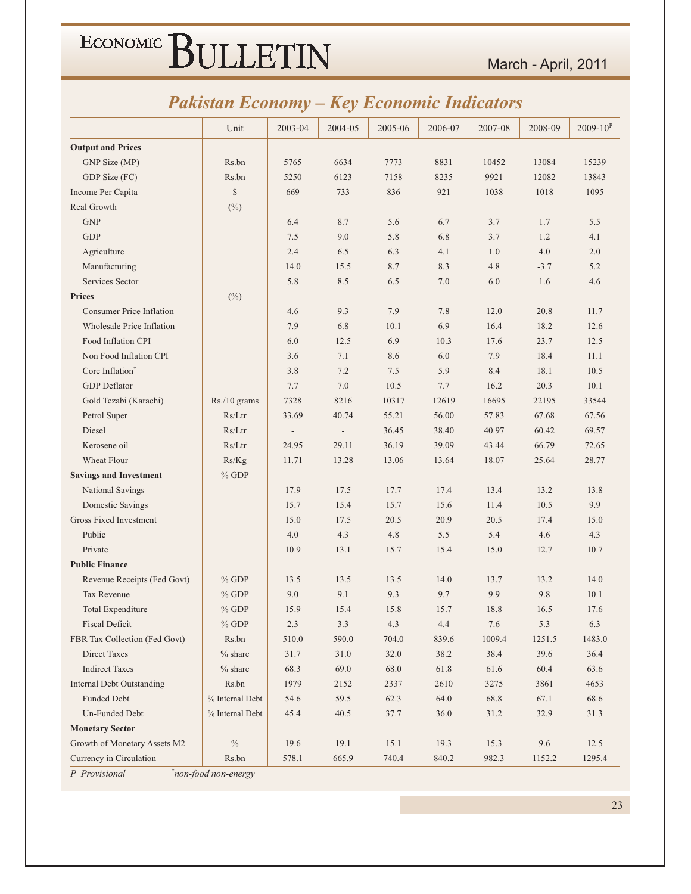#### March - April, 2011

### **Pakistan Economy - Key Economic Indicators**

|                                  | Unit                | 2003-04 | 2004-05        | 2005-06 | 2006-07 | 2007-08 | 2008-09 | $2009 - 10^{P}$ |
|----------------------------------|---------------------|---------|----------------|---------|---------|---------|---------|-----------------|
| <b>Output and Prices</b>         |                     |         |                |         |         |         |         |                 |
| GNP Size (MP)                    | Rs.bn               | 5765    | 6634           | 7773    | 8831    | 10452   | 13084   | 15239           |
| GDP Size (FC)                    | Rs.bn               | 5250    | 6123           | 7158    | 8235    | 9921    | 12082   | 13843           |
| Income Per Capita                | \$                  | 669     | 733            | 836     | 921     | 1038    | 1018    | 1095            |
| Real Growth                      | $(^{0}_{0})$        |         |                |         |         |         |         |                 |
| <b>GNP</b>                       |                     | 6.4     | 8.7            | 5.6     | 6.7     | 3.7     | 1.7     | 5.5             |
| <b>GDP</b>                       |                     | 7.5     | 9.0            | 5.8     | 6.8     | 3.7     | 1.2     | 4.1             |
| Agriculture                      |                     | 2.4     | 6.5            | 6.3     | 4.1     | 1.0     | 4.0     | 2.0             |
| Manufacturing                    |                     | 14.0    | 15.5           | 8.7     | 8.3     | 4.8     | $-3.7$  | 5.2             |
| Services Sector                  |                     | 5.8     | 8.5            | 6.5     | 7.0     | 6.0     | 1.6     | 4.6             |
| <b>Prices</b>                    | $(\%)$              |         |                |         |         |         |         |                 |
| <b>Consumer Price Inflation</b>  |                     | 4.6     | 9.3            | 7.9     | 7.8     | 12.0    | 20.8    | 11.7            |
| Wholesale Price Inflation        |                     | 7.9     | 6.8            | 10.1    | 6.9     | 16.4    | 18.2    | 12.6            |
| Food Inflation CPI               |                     | 6.0     | 12.5           | 6.9     | 10.3    | 17.6    | 23.7    | 12.5            |
| Non Food Inflation CPI           |                     | 3.6     | 7.1            | 8.6     | 6.0     | 7.9     | 18.4    | 11.1            |
| Core Inflation <sup>†</sup>      |                     | 3.8     | 7.2            | 7.5     | 5.9     | 8.4     | 18.1    | 10.5            |
| <b>GDP</b> Deflator              |                     | 7.7     | $7.0\,$        | 10.5    | 7.7     | 16.2    | 20.3    | 10.1            |
| Gold Tezabi (Karachi)            | Rs./10 grams        | 7328    | 8216           | 10317   | 12619   | 16695   | 22195   | 33544           |
| Petrol Super                     | Rs/Ltr              | 33.69   | 40.74          | 55.21   | 56.00   | 57.83   | 67.68   | 67.56           |
| Diesel                           | Rs/Ltr              |         | $\blacksquare$ | 36.45   | 38.40   | 40.97   | 60.42   | 69.57           |
| Kerosene oil                     | Rs/Ltr              | 24.95   | 29.11          | 36.19   | 39.09   | 43.44   | 66.79   | 72.65           |
| Wheat Flour                      | Rs/Kg               | 11.71   | 13.28          | 13.06   | 13.64   | 18.07   | 25.64   | 28.77           |
| <b>Savings and Investment</b>    | $%$ GDP             |         |                |         |         |         |         |                 |
| National Savings                 |                     | 17.9    | 17.5           | 17.7    | 17.4    | 13.4    | 13.2    | 13.8            |
| Domestic Savings                 |                     | 15.7    | 15.4           | 15.7    | 15.6    | 11.4    | 10.5    | 9.9             |
| <b>Gross Fixed Investment</b>    |                     | 15.0    | 17.5           | 20.5    | 20.9    | 20.5    | 17.4    | 15.0            |
| Public                           |                     | 4.0     | 4.3            | 4.8     | 5.5     | 5.4     | 4.6     | 4.3             |
| Private                          |                     | 10.9    | 13.1           | 15.7    | 15.4    | 15.0    | 12.7    | 10.7            |
| <b>Public Finance</b>            |                     |         |                |         |         |         |         |                 |
| Revenue Receipts (Fed Govt)      | $%$ GDP             | 13.5    | 13.5           | 13.5    | 14.0    | 13.7    | 13.2    | 14.0            |
| Tax Revenue                      | $%$ GDP             | 9.0     | 9.1            | 9.3     | 9.7     | 9.9     | 9.8     | 10.1            |
| Total Expenditure                | $%$ GDP             | 15.9    | 15.4           | 15.8    | 15.7    | 18.8    | 16.5    | 17.6            |
| <b>Fiscal Deficit</b>            | $%$ GDP             | 2.3     | 3.3            | 4.3     | 4.4     | 7.6     | 5.3     | 6.3             |
| FBR Tax Collection (Fed Govt)    | Rs.bn               | 510.0   | 590.0          | 704.0   | 839.6   | 1009.4  | 1251.5  | 1483.0          |
| Direct Taxes                     | $%$ share           | 31.7    | 31.0           | 32.0    | 38.2    | 38.4    | 39.6    | 36.4            |
| <b>Indirect Taxes</b>            | $%$ share           | 68.3    | 69.0           | 68.0    | 61.8    | 61.6    | 60.4    | 63.6            |
| <b>Internal Debt Outstanding</b> | Rs.bn               | 1979    | 2152           | 2337    | 2610    | 3275    | 3861    | 4653            |
| Funded Debt                      | % Internal Debt     | 54.6    | 59.5           | 62.3    | 64.0    | 68.8    | 67.1    | 68.6            |
| Un-Funded Debt                   | % Internal Debt     | 45.4    | 40.5           | 37.7    | 36.0    | 31.2    | 32.9    | 31.3            |
| <b>Monetary Sector</b>           |                     |         |                |         |         |         |         |                 |
| Growth of Monetary Assets M2     | $\%$                | 19.6    | 19.1           | 15.1    | 19.3    | 15.3    | 9.6     | 12.5            |
| Currency in Circulation          | Rs.bn               | 578.1   | 665.9          | 740.4   | 840.2   | 982.3   | 1152.2  | 1295.4          |
| P Provisional                    | non-food non-energy |         |                |         |         |         |         |                 |